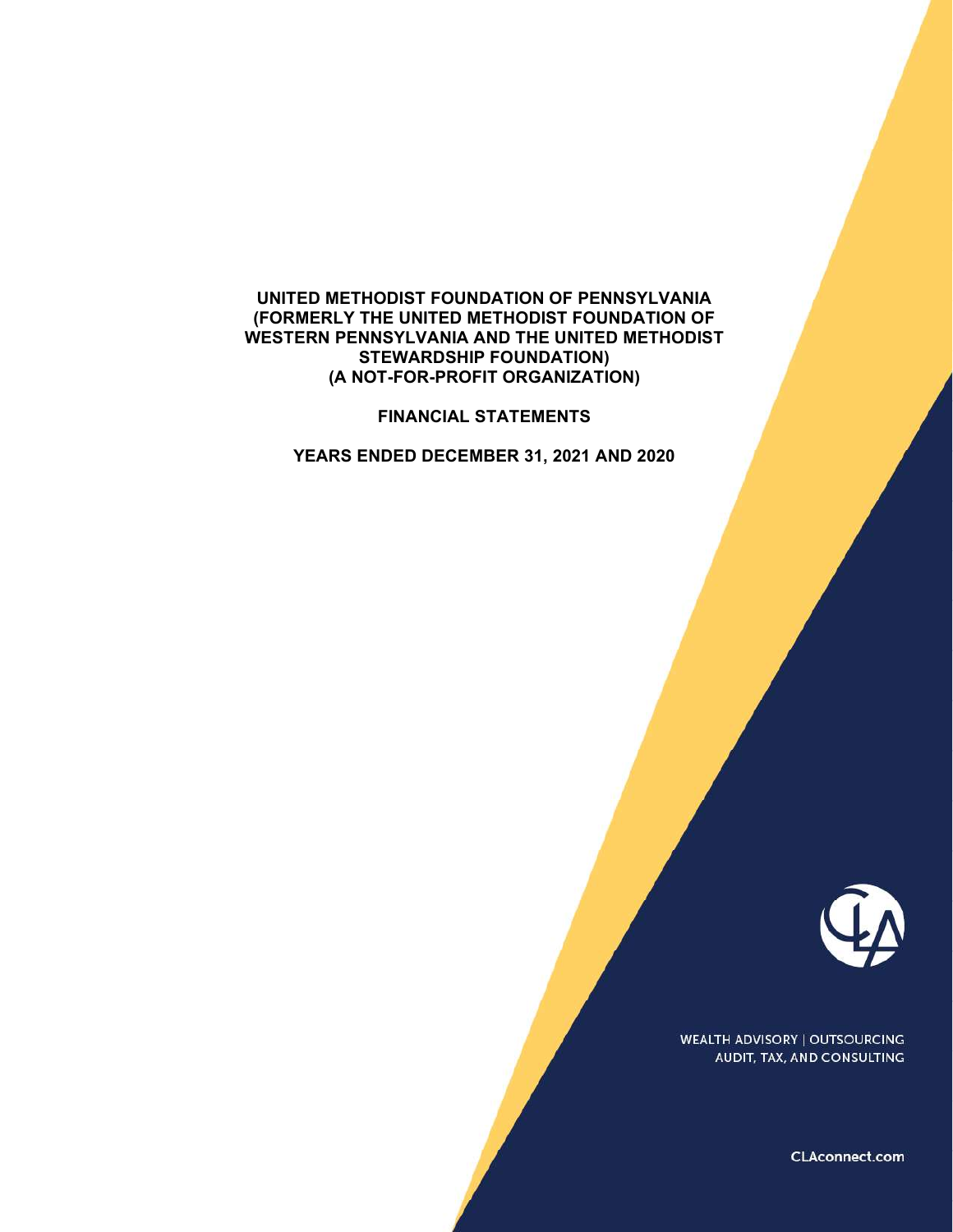### UNITED METHODIST FOUNDATION OF PENNSYLVANIA (FORMERLY THE UNITED METHODIST FOUNDATION OF WESTERN PENNSYLVANIA AND THE UNITED METHODIST STEWARDSHIP FOUNDATION) (A NOT-FOR-PROFIT ORGANIZATION)

#### FINANCIAL STATEMENTS

YEARS ENDED DECEMBER 31, 2021 AND 2020



**WEALTH ADVISORY | OUTSOURCING** AUDIT, TAX, AND CONSULTING

CLAconnect.com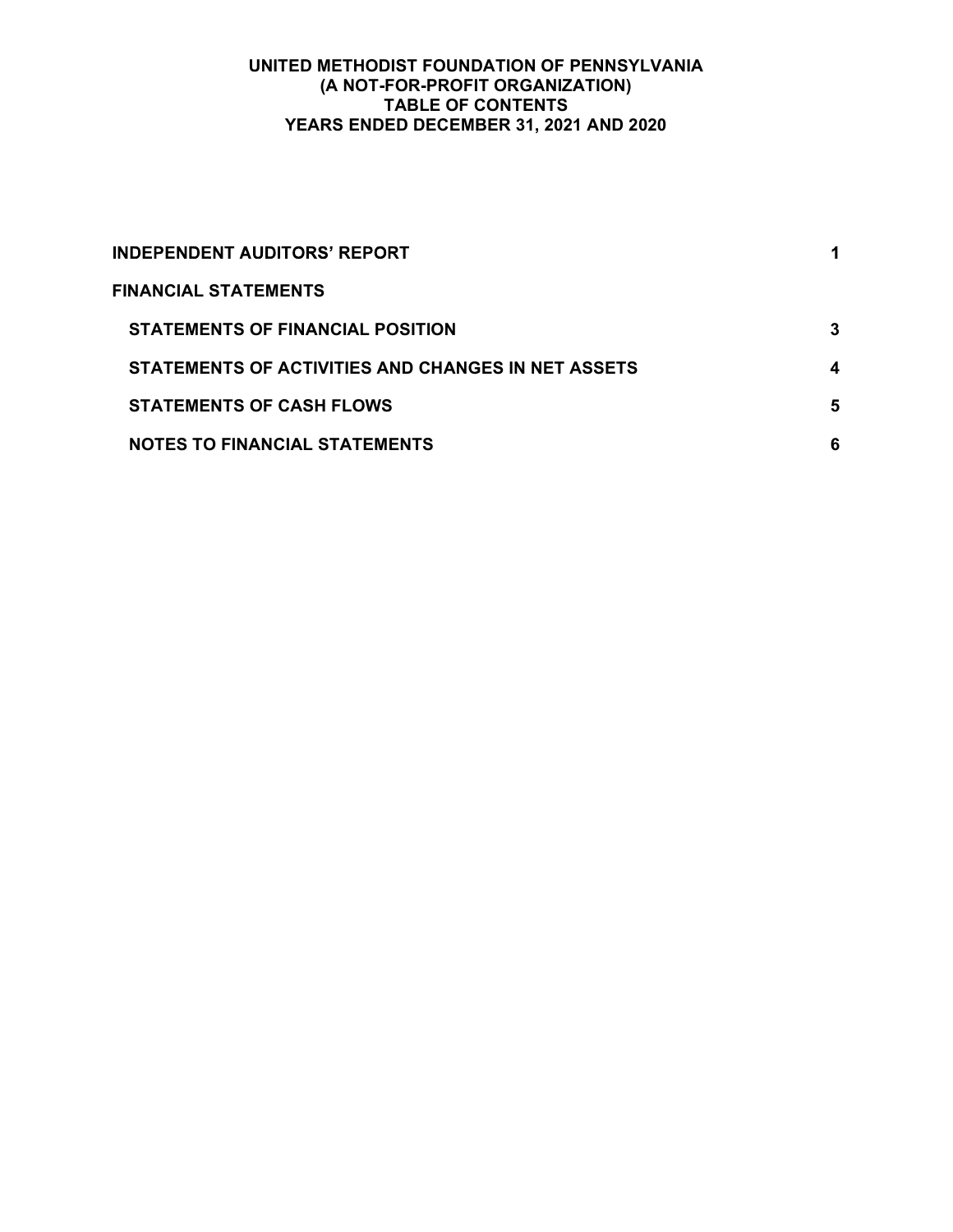## UNITED METHODIST FOUNDATION OF PENNSYLVANIA (A NOT-FOR-PROFIT ORGANIZATION) TABLE OF CONTENTS YEARS ENDED DECEMBER 31, 2021 AND 2020

| <b>INDEPENDENT AUDITORS' REPORT</b>                |   |
|----------------------------------------------------|---|
| <b>FINANCIAL STATEMENTS</b>                        |   |
| <b>STATEMENTS OF FINANCIAL POSITION</b>            | 3 |
| STATEMENTS OF ACTIVITIES AND CHANGES IN NET ASSETS | 4 |
| <b>STATEMENTS OF CASH FLOWS</b>                    | 5 |
| <b>NOTES TO FINANCIAL STATEMENTS</b>               | 6 |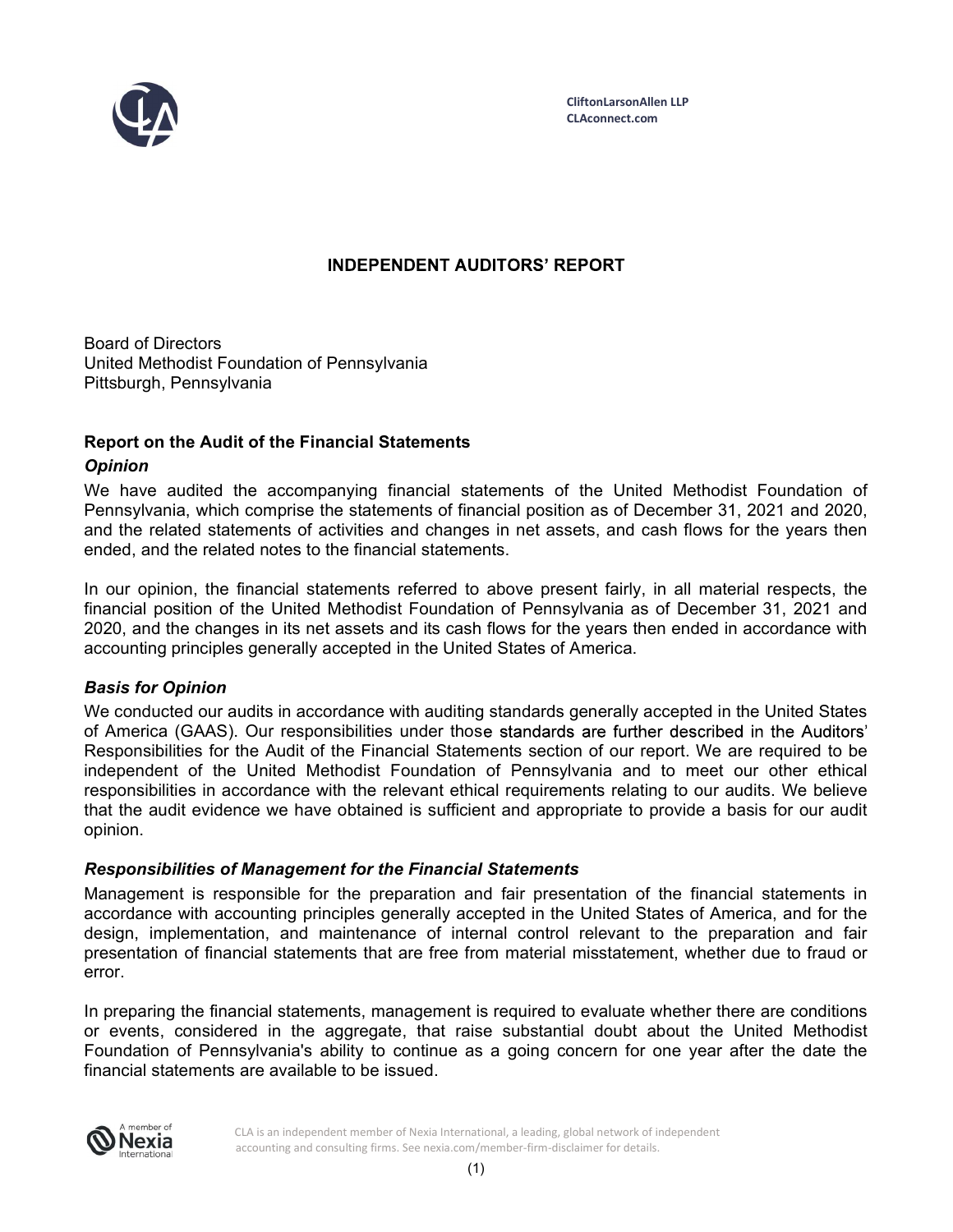

# **INDEPENDENT AUDITORS' REPORT**

Board of Directors United Methodist Foundation of Pennsylvania Pittsburgh, Pennsylvania

## Report on the Audit of the Financial Statements

## **Opinion**

We have audited the accompanying financial statements of the United Methodist Foundation of Pennsylvania, which comprise the statements of financial position as of December 31, 2021 and 2020, and the related statements of activities and changes in net assets, and cash flows for the years then ended, and the related notes to the financial statements.

In our opinion, the financial statements referred to above present fairly, in all material respects, the financial position of the United Methodist Foundation of Pennsylvania as of December 31, 2021 and 2020, and the changes in its net assets and its cash flows for the years then ended in accordance with accounting principles generally accepted in the United States of America.

## Basis for Opinion

We conducted our audits in accordance with auditing standards generally accepted in the United States of America (GAAS). Our responsibilities under those standards are further described in the Auditors' Responsibilities for the Audit of the Financial Statements section of our report. We are required to be independent of the United Methodist Foundation of Pennsylvania and to meet our other ethical responsibilities in accordance with the relevant ethical requirements relating to our audits. We believe that the audit evidence we have obtained is sufficient and appropriate to provide a basis for our audit opinion.

## Responsibilities of Management for the Financial Statements

Management is responsible for the preparation and fair presentation of the financial statements in accordance with accounting principles generally accepted in the United States of America, and for the design, implementation, and maintenance of internal control relevant to the preparation and fair presentation of financial statements that are free from material misstatement, whether due to fraud or error.

In preparing the financial statements, management is required to evaluate whether there are conditions or events, considered in the aggregate, that raise substantial doubt about the United Methodist Foundation of Pennsylvania's ability to continue as a going concern for one year after the date the financial statements are available to be issued.



 CLA is an independent member of Nexia International, a leading, global network of independent accounting and consulting firms. See nexia.com/member-firm-disclaimer for details.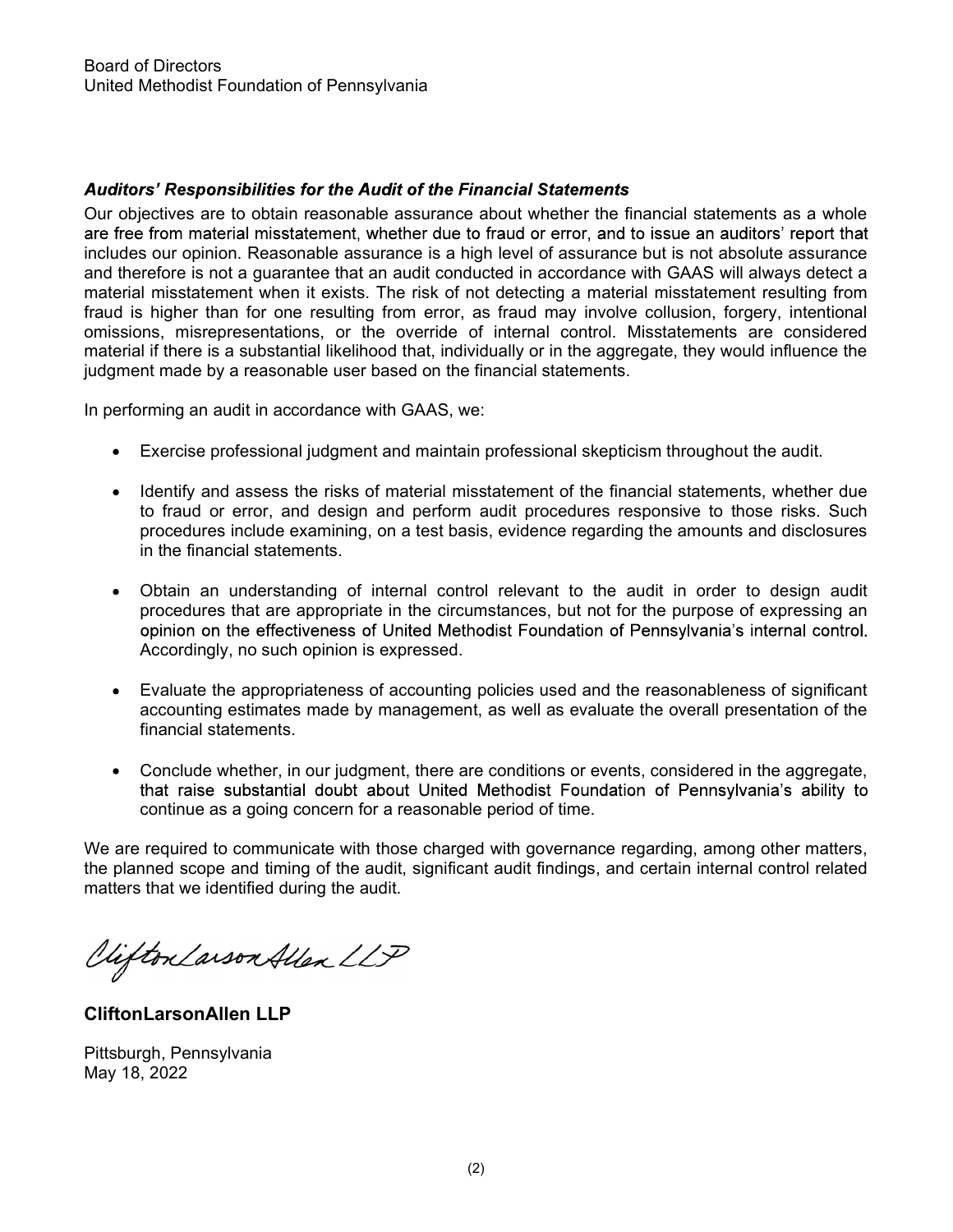# **Auditors' Responsibilities for the Audit of the Financial Statements**

Our objectives are to obtain reasonable assurance about whether the financial statements as a whole are free from material misstatement, whether due to fraud or error, and to issue an auditors' report that includes our opinion. Reasonable assurance is a high level of assurance but is not absolute assurance and therefore is not a guarantee that an audit conducted in accordance with GAAS will always detect a material misstatement when it exists. The risk of not detecting a material misstatement resulting from fraud is higher than for one resulting from error, as fraud may involve collusion, forgery, intentional omissions, misrepresentations, or the override of internal control. Misstatements are considered material if there is a substantial likelihood that, individually or in the aggregate, they would influence the judgment made by a reasonable user based on the financial statements.

In performing an audit in accordance with GAAS, we:

- Exercise professional judgment and maintain professional skepticism throughout the audit.
- Identify and assess the risks of material misstatement of the financial statements, whether due to fraud or error, and design and perform audit procedures responsive to those risks. Such procedures include examining, on a test basis, evidence regarding the amounts and disclosures in the financial statements.
- Obtain an understanding of internal control relevant to the audit in order to design audit procedures that are appropriate in the circumstances, but not for the purpose of expressing an opinion on the effectiveness of United Methodist Foundation of Pennsylvania's internal control. Accordingly, no such opinion is expressed.
- Evaluate the appropriateness of accounting policies used and the reasonableness of significant accounting estimates made by management, as well as evaluate the overall presentation of the financial statements.
- Conclude whether, in our judgment, there are conditions or events, considered in the aggregate, that raise substantial doubt about United Methodist Foundation of Pennsylvania's ability to continue as a going concern for a reasonable period of time.

We are required to communicate with those charged with governance regarding, among other matters, the planned scope and timing of the audit, significant audit findings, and certain internal control related matters that we identified during the audit.

Viifton Larson Allen LLP

CliftonLarsonAllen LLP

Pittsburgh, Pennsylvania May 18, 2022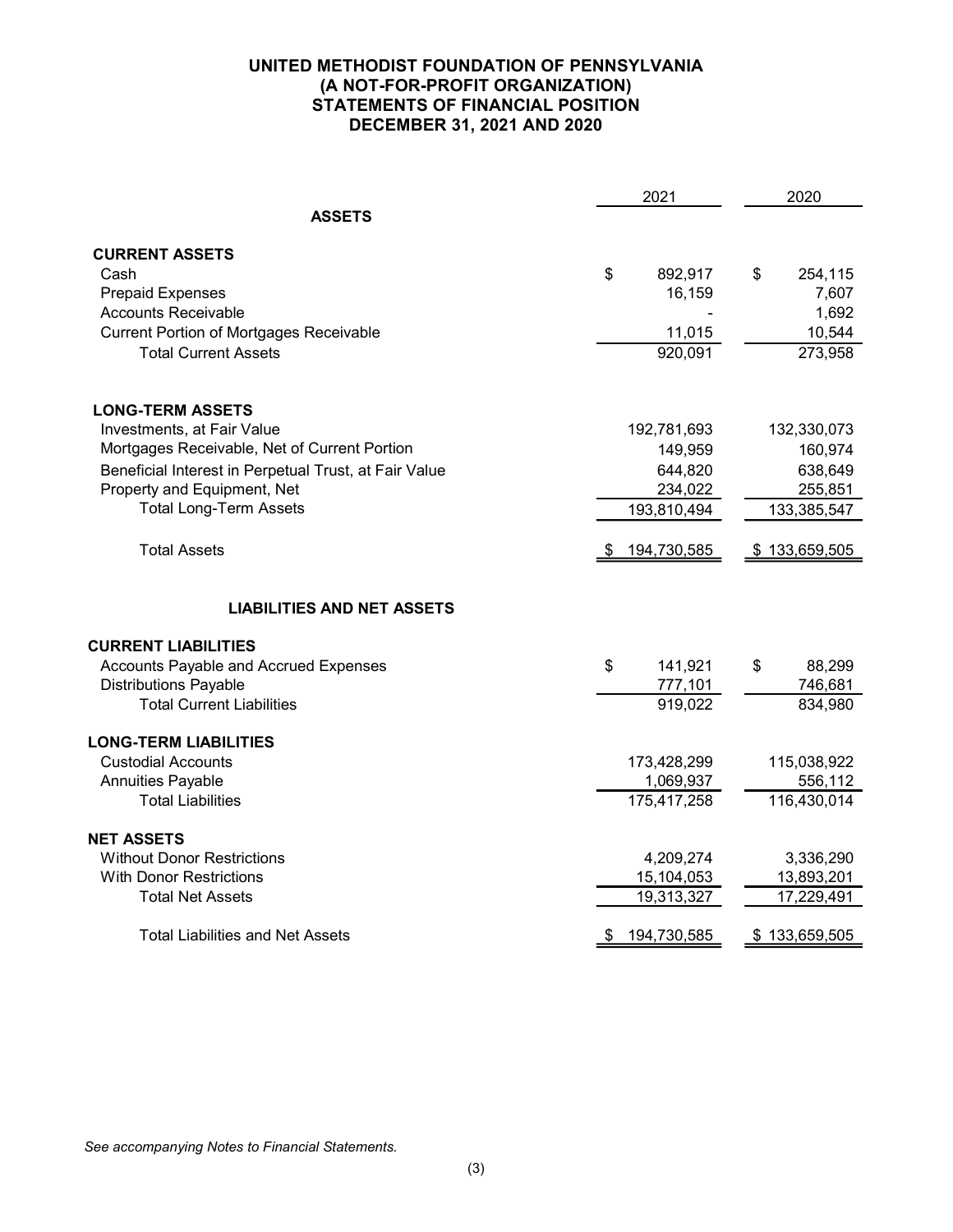| 2021                                                  |     | 2020        |               |
|-------------------------------------------------------|-----|-------------|---------------|
| <b>ASSETS</b>                                         |     |             |               |
| <b>CURRENT ASSETS</b>                                 |     |             |               |
| Cash                                                  | \$  | 892,917     | \$<br>254,115 |
| <b>Prepaid Expenses</b>                               |     | 16,159      | 7,607         |
| <b>Accounts Receivable</b>                            |     |             | 1,692         |
| <b>Current Portion of Mortgages Receivable</b>        |     | 11,015      | 10,544        |
| <b>Total Current Assets</b>                           |     | 920,091     | 273,958       |
| <b>LONG-TERM ASSETS</b>                               |     |             |               |
| Investments, at Fair Value                            |     | 192,781,693 | 132,330,073   |
| Mortgages Receivable, Net of Current Portion          |     | 149,959     | 160,974       |
| Beneficial Interest in Perpetual Trust, at Fair Value |     | 644,820     | 638,649       |
| Property and Equipment, Net                           |     | 234,022     | 255,851       |
| <b>Total Long-Term Assets</b>                         |     | 193,810,494 | 133,385,547   |
| <b>Total Assets</b>                                   | -95 | 194,730,585 | \$133,659,505 |
| <b>LIABILITIES AND NET ASSETS</b>                     |     |             |               |
|                                                       |     |             |               |
| <b>CURRENT LIABILITIES</b>                            |     |             |               |
| Accounts Payable and Accrued Expenses                 | \$  | 141,921     | \$<br>88,299  |
| <b>Distributions Payable</b>                          |     | 777,101     | 746,681       |
| <b>Total Current Liabilities</b>                      |     | 919,022     | 834,980       |
| <b>LONG-TERM LIABILITIES</b>                          |     |             |               |
| <b>Custodial Accounts</b>                             |     | 173,428,299 | 115,038,922   |
| <b>Annuities Payable</b>                              |     | 1,069,937   | 556,112       |
| <b>Total Liabilities</b>                              |     | 175,417,258 | 116,430,014   |
| <b>NET ASSETS</b>                                     |     |             |               |
| <b>Without Donor Restrictions</b>                     |     | 4,209,274   | 3,336,290     |
| <b>With Donor Restrictions</b>                        |     | 15,104,053  | 13,893,201    |
| <b>Total Net Assets</b>                               |     | 19,313,327  | 17,229,491    |
| <b>Total Liabilities and Net Assets</b>               | P.  | 194,730,585 | \$133,659,505 |

See accompanying Notes to Financial Statements.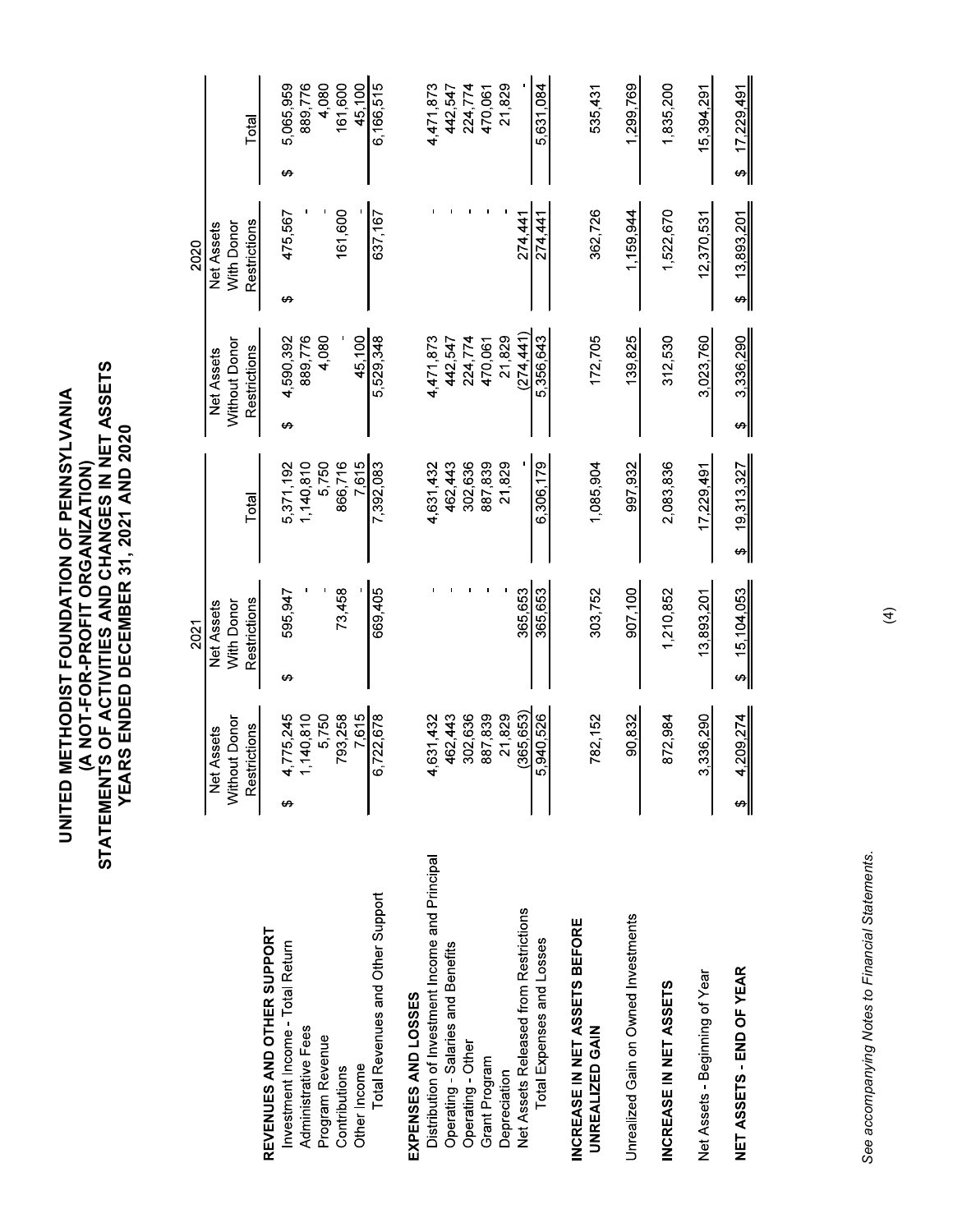|                                                                                      |                                         | 2021                     |                      |                                    | 2020                            |                      |        |
|--------------------------------------------------------------------------------------|-----------------------------------------|--------------------------|----------------------|------------------------------------|---------------------------------|----------------------|--------|
|                                                                                      |                                         |                          |                      |                                    |                                 |                      |        |
|                                                                                      | Without Donor<br><b>Net Assets</b>      | With Donor<br>Net Assets |                      | Without Donor<br><b>Net Assets</b> | With Donor<br><b>Net Assets</b> |                      |        |
|                                                                                      | Restrictions                            | Restrictions             | Total                | Restrictions                       | Restrictions                    | Total                |        |
| REVENUES AND OTHER SUPPORT<br>Investment Income - Total Return                       | 775,245<br>$\mathbf{A} \leftarrow$<br>↔ | 595,947<br>↔             | 5,371,192            | 4,590,392<br>↔                     | 475,567<br>↔                    | 5,065,959<br>↔       |        |
| Administrative Fees                                                                  | 140,810                                 |                          | 1,140,810            | 889,776                            |                                 | 889,776              |        |
| Program Revenue<br>Contributions                                                     | 5,750<br>793,258                        | 73,458                   | 5,750<br>866,716     | 4,080                              | 161,600                         | 161,600              | 4,080  |
| Other Income                                                                         | 7,615                                   |                          | 7,615                | 45,100                             |                                 |                      | 45,100 |
| Total Revenues and Other Support                                                     | 722,678<br>$\ddot{\circ}$               | 669,405                  | 7,392,083            | 5,529,348                          | 637,167                         | 6,166,515            |        |
| EXPENSES AND LOSSES                                                                  |                                         |                          |                      |                                    |                                 |                      |        |
| Distribution of Investment Income and Principal<br>Operating - Salaries and Benefits | 462,443<br>4,631,432                    |                          | 462,443<br>4,631,432 | 4,471,873<br>442,547               |                                 | 4,471,873<br>442,547 |        |
| Operating - Other                                                                    | 302,636                                 |                          |                      | 224,774                            |                                 | 224,774              |        |
| Grant Program                                                                        | 887,839                                 |                          | 887,839<br>302,636   | 470,061                            |                                 | 470,061              |        |
| Depreciation                                                                         | 21,829                                  |                          | 21,829               | 21,829                             |                                 |                      | 21,829 |
| Net Assets Released from Restrictions                                                | (365, 653)                              | 365,653                  |                      | (274, 441)                         | 274,441                         |                      |        |
| Total Expenses and Losses                                                            | 5,940,526                               | 365,653                  | 6,306,179            | 5,356,643                          | 274,441                         | 5,631,084            |        |
| INCREASE IN NET ASSETS BEFORE<br>UNREALIZED GAIN                                     | 782,152                                 | 303,752                  | 1,085,904            | 172,705                            | 362,726                         | 535,431              |        |
| Unrealized Gain on Owned Investments                                                 | 90,832                                  | 907,100                  | 997,932              | 139,825                            | 1,159,944                       | 1,299,769            |        |
| INCREASE IN NET ASSETS                                                               | 872,984                                 | 1,210,852                | 2,083,836            | 312,530                            | 1,522,670                       | 1,835,200            |        |
| Net Assets - Beginning of Year                                                       | 336,290<br>ကါ                           | 13,893,201               | 17,229,491           | 3,023,760                          | 12,370,531                      | 15,394,291           |        |
| NET ASSETS - END OF YEAR                                                             | 209,274<br>4                            | 15,104,053<br>⇔∥         | 19,313,327<br>∾∣     | 3,336,290<br>↮                     | 13,893,201<br>⇔∥                | 17,229,491<br>জ∣     |        |
|                                                                                      |                                         |                          |                      |                                    |                                 |                      |        |
|                                                                                      |                                         |                          |                      |                                    |                                 |                      |        |
| See accompanying Notes to Financial Statements.                                      |                                         |                          |                      |                                    |                                 |                      |        |
|                                                                                      |                                         | $\widehat{t}$            |                      |                                    |                                 |                      |        |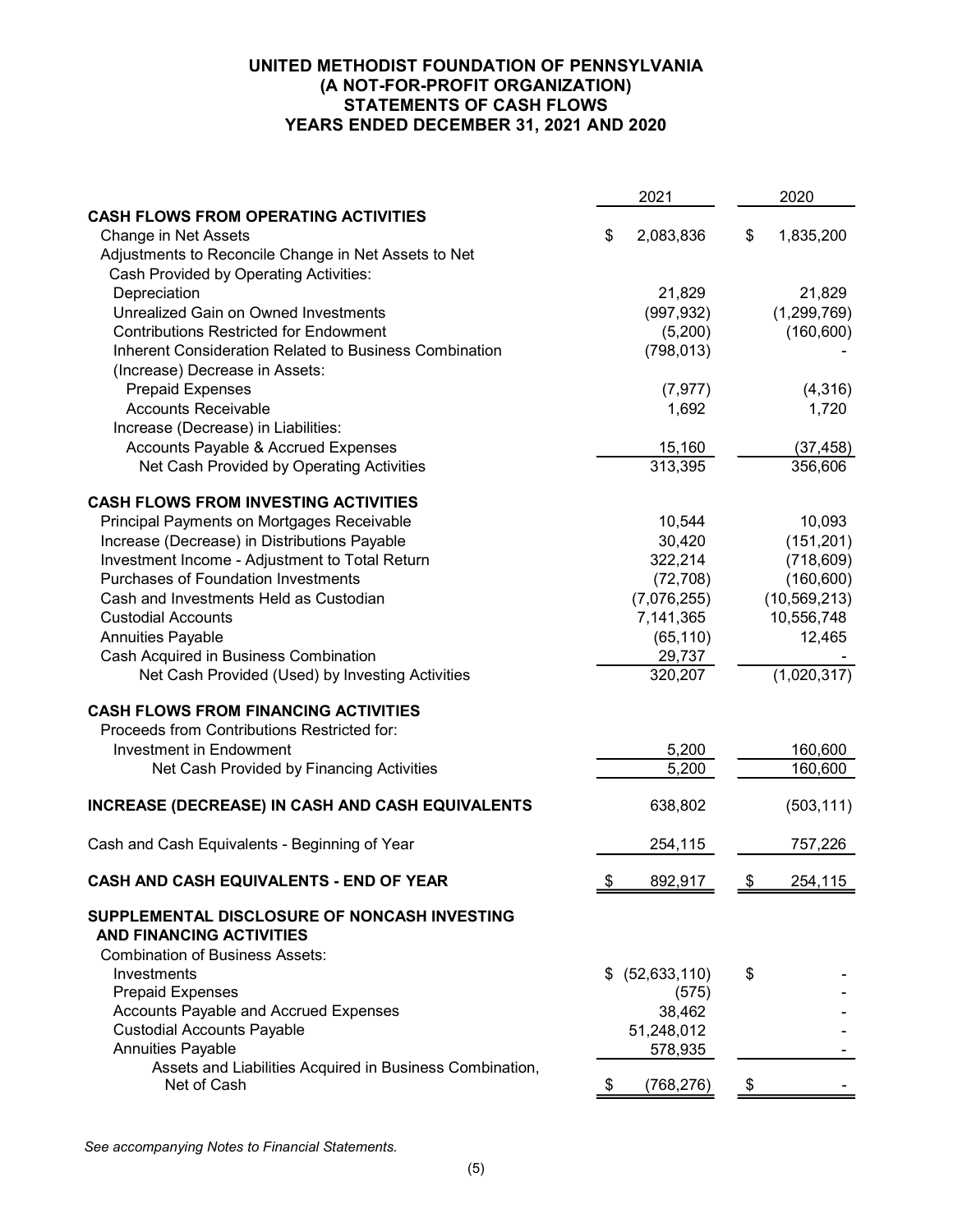## UNITED METHODIST FOUNDATION OF PENNSYLVANIA (A NOT-FOR-PROFIT ORGANIZATION) STATEMENTS OF CASH FLOWS YEARS ENDED DECEMBER 31, 2021 AND 2020

|                                                                                 |    | 2021                  | 2020                      |
|---------------------------------------------------------------------------------|----|-----------------------|---------------------------|
| <b>CASH FLOWS FROM OPERATING ACTIVITIES</b>                                     |    |                       |                           |
| <b>Change in Net Assets</b>                                                     | S  | 2,083,836             | \$<br>1,835,200           |
| Adjustments to Reconcile Change in Net Assets to Net                            |    |                       |                           |
| Cash Provided by Operating Activities:                                          |    |                       |                           |
| Depreciation<br>Unrealized Gain on Owned Investments                            |    | 21,829                | 21,829                    |
| <b>Contributions Restricted for Endowment</b>                                   |    | (997, 932)<br>(5,200) | (1,299,769)<br>(160, 600) |
| Inherent Consideration Related to Business Combination                          |    | (798, 013)            |                           |
| (Increase) Decrease in Assets:                                                  |    |                       |                           |
| <b>Prepaid Expenses</b>                                                         |    | (7, 977)              | (4,316)                   |
| <b>Accounts Receivable</b>                                                      |    | 1,692                 | 1,720                     |
| Increase (Decrease) in Liabilities:                                             |    |                       |                           |
| Accounts Payable & Accrued Expenses                                             |    | 15,160                | (37, 458)                 |
| Net Cash Provided by Operating Activities                                       |    | 313,395               | 356,606                   |
|                                                                                 |    |                       |                           |
| <b>CASH FLOWS FROM INVESTING ACTIVITIES</b>                                     |    |                       |                           |
| Principal Payments on Mortgages Receivable                                      |    | 10,544                | 10,093                    |
| Increase (Decrease) in Distributions Payable                                    |    | 30,420                | (151, 201)                |
| Investment Income - Adjustment to Total Return                                  |    | 322,214               | (718, 609)                |
| <b>Purchases of Foundation Investments</b>                                      |    | (72, 708)             | (160, 600)                |
| Cash and Investments Held as Custodian                                          |    | (7,076,255)           | (10, 569, 213)            |
| <b>Custodial Accounts</b>                                                       |    | 7,141,365             | 10,556,748                |
| <b>Annuities Payable</b><br>Cash Acquired in Business Combination               |    | (65, 110)<br>29,737   | 12,465                    |
| Net Cash Provided (Used) by Investing Activities                                |    | 320,207               | (1,020,317)               |
|                                                                                 |    |                       |                           |
| <b>CASH FLOWS FROM FINANCING ACTIVITIES</b>                                     |    |                       |                           |
| Proceeds from Contributions Restricted for:                                     |    |                       |                           |
| <b>Investment in Endowment</b>                                                  |    | 5,200                 | 160,600                   |
| Net Cash Provided by Financing Activities                                       |    | 5,200                 | 160,600                   |
| INCREASE (DECREASE) IN CASH AND CASH EQUIVALENTS                                |    | 638,802               | (503, 111)                |
| Cash and Cash Equivalents - Beginning of Year                                   |    | 254,115               | 757,226                   |
| <b>CASH AND CASH EQUIVALENTS - END OF YEAR</b>                                  | \$ | 892.917               | \$<br>254.115             |
| SUPPLEMENTAL DISCLOSURE OF NONCASH INVESTING<br><b>AND FINANCING ACTIVITIES</b> |    |                       |                           |
| <b>Combination of Business Assets:</b>                                          |    |                       |                           |
| Investments                                                                     | \$ | (52, 633, 110)        | \$                        |
| <b>Prepaid Expenses</b>                                                         |    | (575)                 |                           |
| Accounts Payable and Accrued Expenses                                           |    | 38,462                |                           |
| <b>Custodial Accounts Payable</b>                                               |    | 51,248,012            |                           |
| <b>Annuities Payable</b>                                                        |    | 578,935               |                           |
| Assets and Liabilities Acquired in Business Combination,                        |    |                       |                           |
| Net of Cash                                                                     | \$ | (768,276)             | \$                        |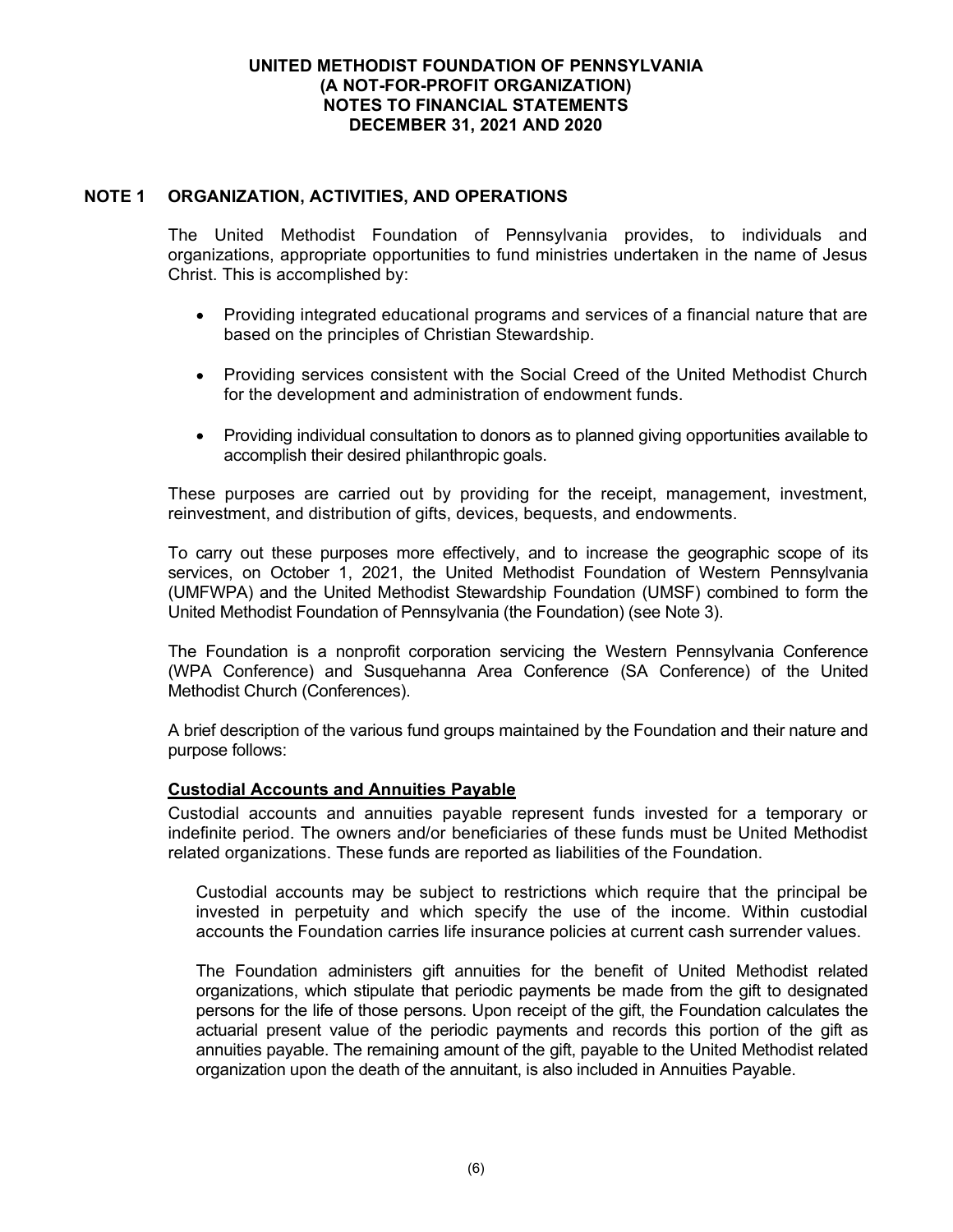## NOTE 1 ORGANIZATION, ACTIVITIES, AND OPERATIONS

The United Methodist Foundation of Pennsylvania provides, to individuals and organizations, appropriate opportunities to fund ministries undertaken in the name of Jesus Christ. This is accomplished by:

- Providing integrated educational programs and services of a financial nature that are based on the principles of Christian Stewardship.
- Providing services consistent with the Social Creed of the United Methodist Church for the development and administration of endowment funds.
- Providing individual consultation to donors as to planned giving opportunities available to accomplish their desired philanthropic goals.

These purposes are carried out by providing for the receipt, management, investment, reinvestment, and distribution of gifts, devices, bequests, and endowments.

To carry out these purposes more effectively, and to increase the geographic scope of its services, on October 1, 2021, the United Methodist Foundation of Western Pennsylvania (UMFWPA) and the United Methodist Stewardship Foundation (UMSF) combined to form the United Methodist Foundation of Pennsylvania (the Foundation) (see Note 3).

The Foundation is a nonprofit corporation servicing the Western Pennsylvania Conference (WPA Conference) and Susquehanna Area Conference (SA Conference) of the United Methodist Church (Conferences).

A brief description of the various fund groups maintained by the Foundation and their nature and purpose follows:

#### Custodial Accounts and Annuities Payable

Custodial accounts and annuities payable represent funds invested for a temporary or indefinite period. The owners and/or beneficiaries of these funds must be United Methodist related organizations. These funds are reported as liabilities of the Foundation.

Custodial accounts may be subject to restrictions which require that the principal be invested in perpetuity and which specify the use of the income. Within custodial accounts the Foundation carries life insurance policies at current cash surrender values.

The Foundation administers gift annuities for the benefit of United Methodist related organizations, which stipulate that periodic payments be made from the gift to designated persons for the life of those persons. Upon receipt of the gift, the Foundation calculates the actuarial present value of the periodic payments and records this portion of the gift as annuities payable. The remaining amount of the gift, payable to the United Methodist related organization upon the death of the annuitant, is also included in Annuities Payable.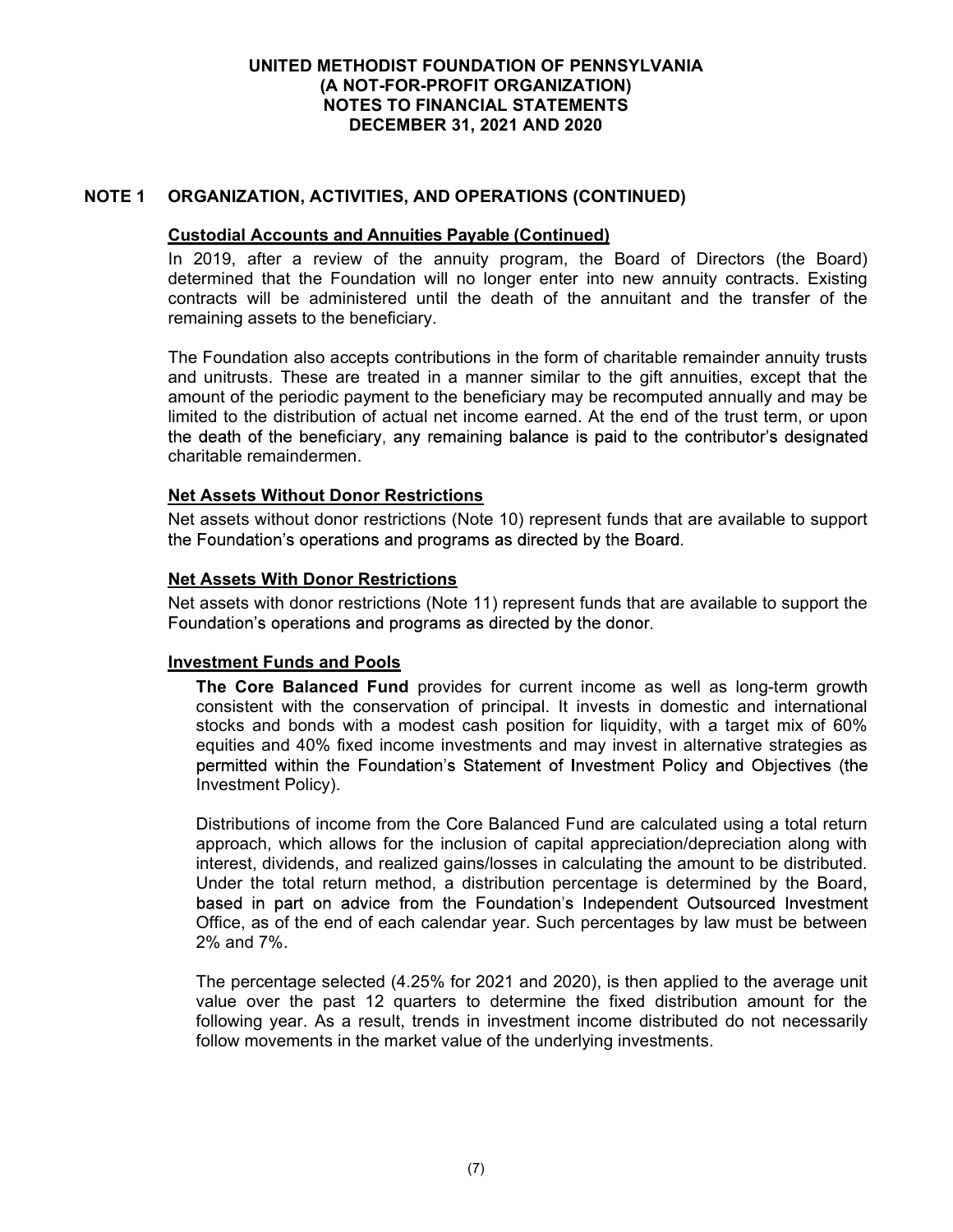## NOTE 1 ORGANIZATION, ACTIVITIES, AND OPERATIONS (CONTINUED)

#### Custodial Accounts and Annuities Payable (Continued)

In 2019, after a review of the annuity program, the Board of Directors (the Board) determined that the Foundation will no longer enter into new annuity contracts. Existing contracts will be administered until the death of the annuitant and the transfer of the remaining assets to the beneficiary.

The Foundation also accepts contributions in the form of charitable remainder annuity trusts and unitrusts. These are treated in a manner similar to the gift annuities, except that the amount of the periodic payment to the beneficiary may be recomputed annually and may be limited to the distribution of actual net income earned. At the end of the trust term, or upon the death of the beneficiary, any remaining balance is paid to the contributor's designated charitable remaindermen.

## Net Assets Without Donor Restrictions

Net assets without donor restrictions (Note 10) represent funds that are available to support the Foundation's operations and programs as directed by the Board.

## Net Assets With Donor Restrictions

Net assets with donor restrictions (Note 11) represent funds that are available to support the Foundation's operations and programs as directed by the donor.

#### Investment Funds and Pools

The Core Balanced Fund provides for current income as well as long-term growth consistent with the conservation of principal. It invests in domestic and international stocks and bonds with a modest cash position for liquidity, with a target mix of 60% equities and 40% fixed income investments and may invest in alternative strategies as permitted within the Foundation's Statement of Investment Policy and Objectives (the Investment Policy).

Distributions of income from the Core Balanced Fund are calculated using a total return approach, which allows for the inclusion of capital appreciation/depreciation along with interest, dividends, and realized gains/losses in calculating the amount to be distributed. Under the total return method, a distribution percentage is determined by the Board, based in part on advice from the Foundation's Independent Outsourced Investment Office, as of the end of each calendar year. Such percentages by law must be between 2% and 7%.

The percentage selected (4.25% for 2021 and 2020), is then applied to the average unit value over the past 12 quarters to determine the fixed distribution amount for the following year. As a result, trends in investment income distributed do not necessarily follow movements in the market value of the underlying investments.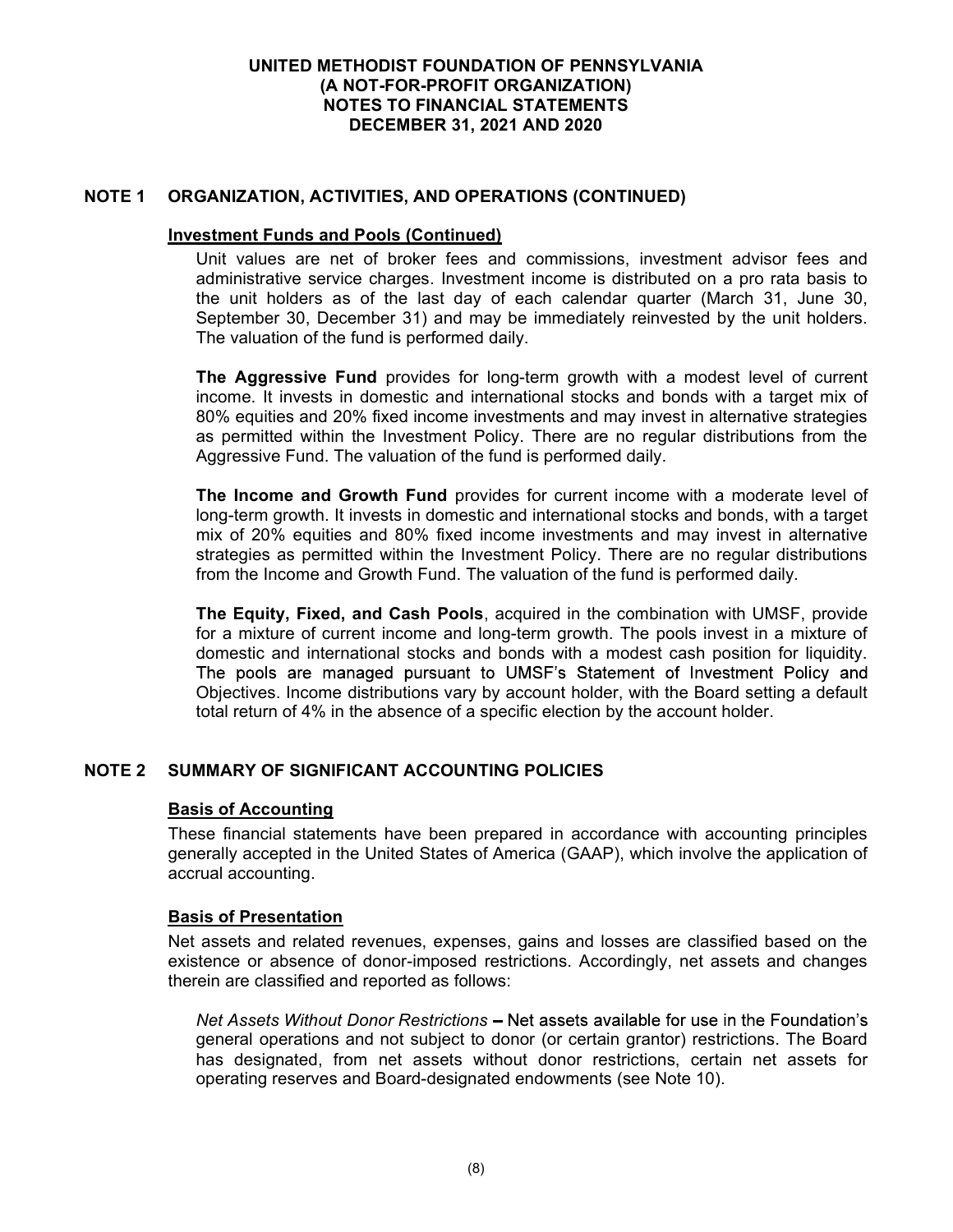## NOTE 1 ORGANIZATION, ACTIVITIES, AND OPERATIONS (CONTINUED)

#### Investment Funds and Pools (Continued)

Unit values are net of broker fees and commissions, investment advisor fees and administrative service charges. Investment income is distributed on a pro rata basis to the unit holders as of the last day of each calendar quarter (March 31, June 30, September 30, December 31) and may be immediately reinvested by the unit holders. The valuation of the fund is performed daily.

The Aggressive Fund provides for long-term growth with a modest level of current income. It invests in domestic and international stocks and bonds with a target mix of 80% equities and 20% fixed income investments and may invest in alternative strategies as permitted within the Investment Policy. There are no regular distributions from the Aggressive Fund. The valuation of the fund is performed daily.

The Income and Growth Fund provides for current income with a moderate level of long-term growth. It invests in domestic and international stocks and bonds, with a target mix of 20% equities and 80% fixed income investments and may invest in alternative strategies as permitted within the Investment Policy. There are no regular distributions from the Income and Growth Fund. The valuation of the fund is performed daily.

The Equity, Fixed, and Cash Pools, acquired in the combination with UMSF, provide for a mixture of current income and long-term growth. The pools invest in a mixture of domestic and international stocks and bonds with a modest cash position for liquidity. The pools are managed pursuant to UMSF's Statement of Investment Policy and Objectives. Income distributions vary by account holder, with the Board setting a default total return of 4% in the absence of a specific election by the account holder.

## NOTE 2 SUMMARY OF SIGNIFICANT ACCOUNTING POLICIES

#### Basis of Accounting

These financial statements have been prepared in accordance with accounting principles generally accepted in the United States of America (GAAP), which involve the application of accrual accounting.

#### Basis of Presentation

Net assets and related revenues, expenses, gains and losses are classified based on the existence or absence of donor-imposed restrictions. Accordingly, net assets and changes therein are classified and reported as follows:

Net Assets Without Donor Restrictions - Net assets available for use in the Foundation's general operations and not subject to donor (or certain grantor) restrictions. The Board has designated, from net assets without donor restrictions, certain net assets for operating reserves and Board-designated endowments (see Note 10).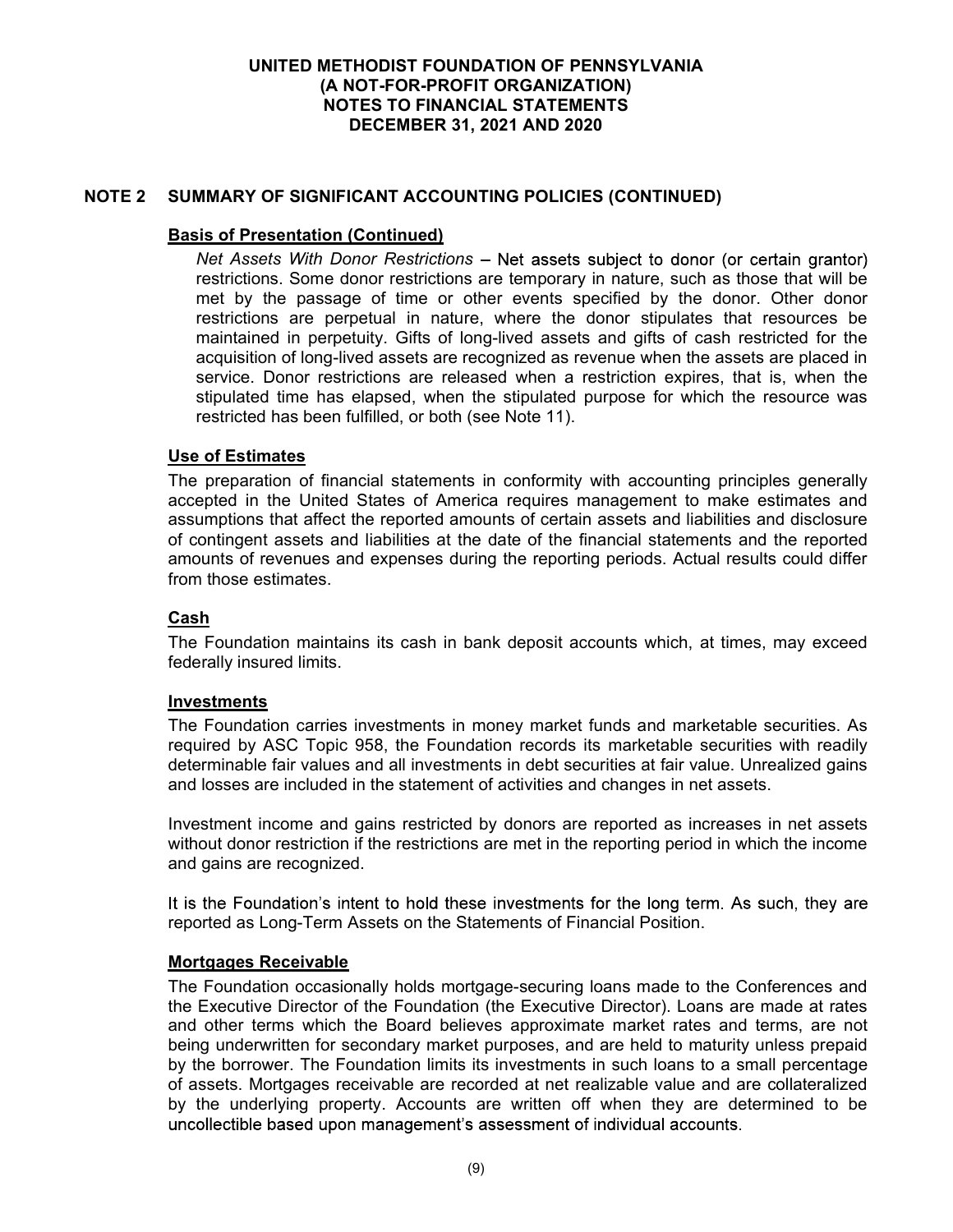## NOTE 2 SUMMARY OF SIGNIFICANT ACCOUNTING POLICIES (CONTINUED)

## Basis of Presentation (Continued)

Net Assets With Donor Restrictions - Net assets subject to donor (or certain grantor) restrictions. Some donor restrictions are temporary in nature, such as those that will be met by the passage of time or other events specified by the donor. Other donor restrictions are perpetual in nature, where the donor stipulates that resources be maintained in perpetuity. Gifts of long-lived assets and gifts of cash restricted for the acquisition of long-lived assets are recognized as revenue when the assets are placed in service. Donor restrictions are released when a restriction expires, that is, when the stipulated time has elapsed, when the stipulated purpose for which the resource was restricted has been fulfilled, or both (see Note 11).

#### Use of Estimates

The preparation of financial statements in conformity with accounting principles generally accepted in the United States of America requires management to make estimates and assumptions that affect the reported amounts of certain assets and liabilities and disclosure of contingent assets and liabilities at the date of the financial statements and the reported amounts of revenues and expenses during the reporting periods. Actual results could differ from those estimates.

#### Cash

The Foundation maintains its cash in bank deposit accounts which, at times, may exceed federally insured limits.

#### **Investments**

The Foundation carries investments in money market funds and marketable securities. As required by ASC Topic 958, the Foundation records its marketable securities with readily determinable fair values and all investments in debt securities at fair value. Unrealized gains and losses are included in the statement of activities and changes in net assets.

Investment income and gains restricted by donors are reported as increases in net assets without donor restriction if the restrictions are met in the reporting period in which the income and gains are recognized.

It is the Foundation's intent to hold these investments for the long term. As such, they are reported as Long-Term Assets on the Statements of Financial Position.

#### Mortgages Receivable

The Foundation occasionally holds mortgage-securing loans made to the Conferences and the Executive Director of the Foundation (the Executive Director). Loans are made at rates and other terms which the Board believes approximate market rates and terms, are not being underwritten for secondary market purposes, and are held to maturity unless prepaid by the borrower. The Foundation limits its investments in such loans to a small percentage of assets. Mortgages receivable are recorded at net realizable value and are collateralized by the underlying property. Accounts are written off when they are determined to be uncollectible based upon management's assessment of individual accounts.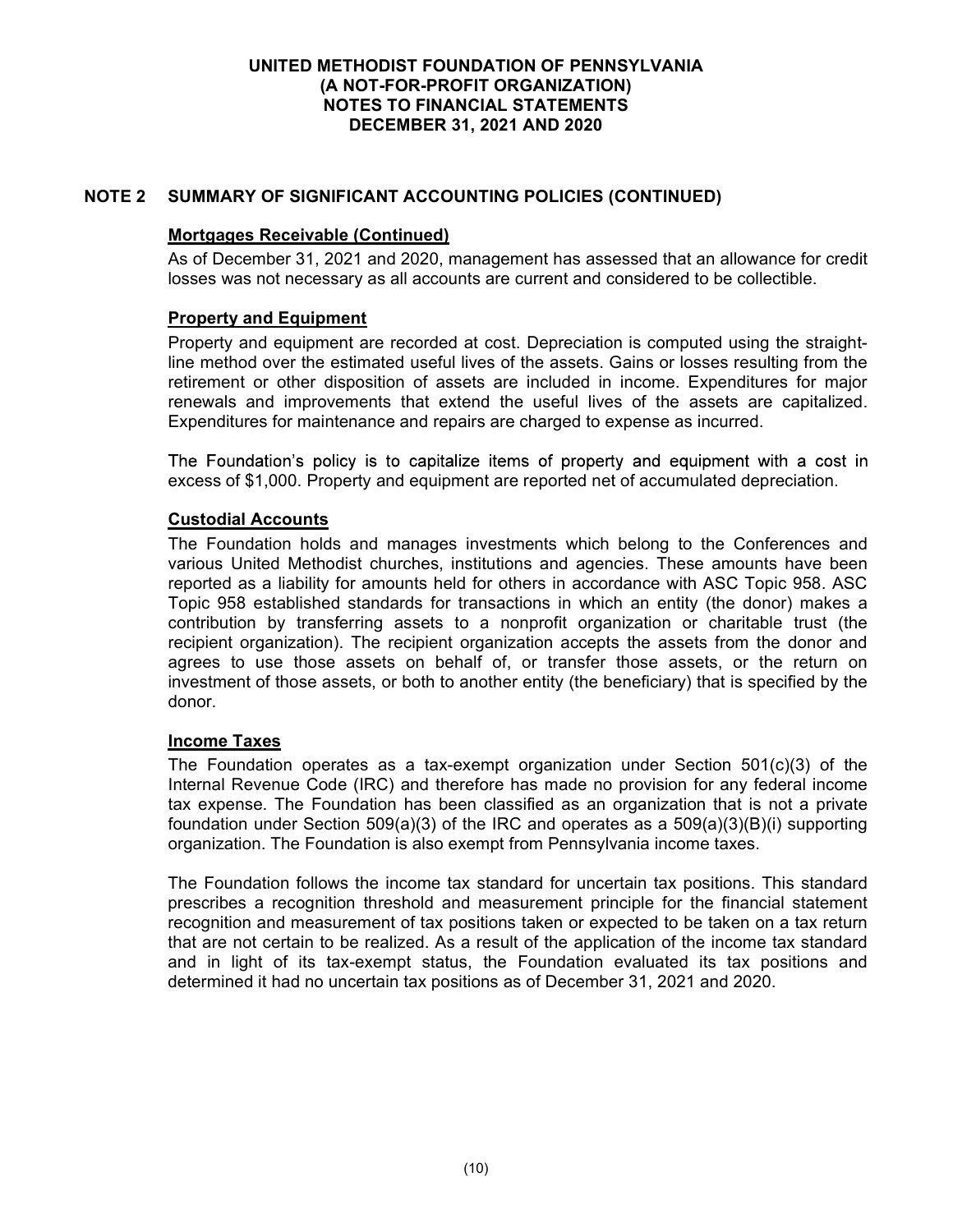## NOTE 2 SUMMARY OF SIGNIFICANT ACCOUNTING POLICIES (CONTINUED)

### Mortgages Receivable (Continued)

As of December 31, 2021 and 2020, management has assessed that an allowance for credit losses was not necessary as all accounts are current and considered to be collectible.

#### Property and Equipment

Property and equipment are recorded at cost. Depreciation is computed using the straightline method over the estimated useful lives of the assets. Gains or losses resulting from the retirement or other disposition of assets are included in income. Expenditures for major renewals and improvements that extend the useful lives of the assets are capitalized. Expenditures for maintenance and repairs are charged to expense as incurred.

The Foundation's policy is to capitalize items of property and equipment with a cost in excess of \$1,000. Property and equipment are reported net of accumulated depreciation.

## Custodial Accounts

The Foundation holds and manages investments which belong to the Conferences and various United Methodist churches, institutions and agencies. These amounts have been reported as a liability for amounts held for others in accordance with ASC Topic 958. ASC Topic 958 established standards for transactions in which an entity (the donor) makes a contribution by transferring assets to a nonprofit organization or charitable trust (the recipient organization). The recipient organization accepts the assets from the donor and agrees to use those assets on behalf of, or transfer those assets, or the return on investment of those assets, or both to another entity (the beneficiary) that is specified by the donor.

#### Income Taxes

The Foundation operates as a tax-exempt organization under Section 501(c)(3) of the Internal Revenue Code (IRC) and therefore has made no provision for any federal income tax expense. The Foundation has been classified as an organization that is not a private foundation under Section 509(a)(3) of the IRC and operates as a 509(a)(3)(B)(i) supporting organization. The Foundation is also exempt from Pennsylvania income taxes.

The Foundation follows the income tax standard for uncertain tax positions. This standard prescribes a recognition threshold and measurement principle for the financial statement recognition and measurement of tax positions taken or expected to be taken on a tax return that are not certain to be realized. As a result of the application of the income tax standard and in light of its tax-exempt status, the Foundation evaluated its tax positions and determined it had no uncertain tax positions as of December 31, 2021 and 2020.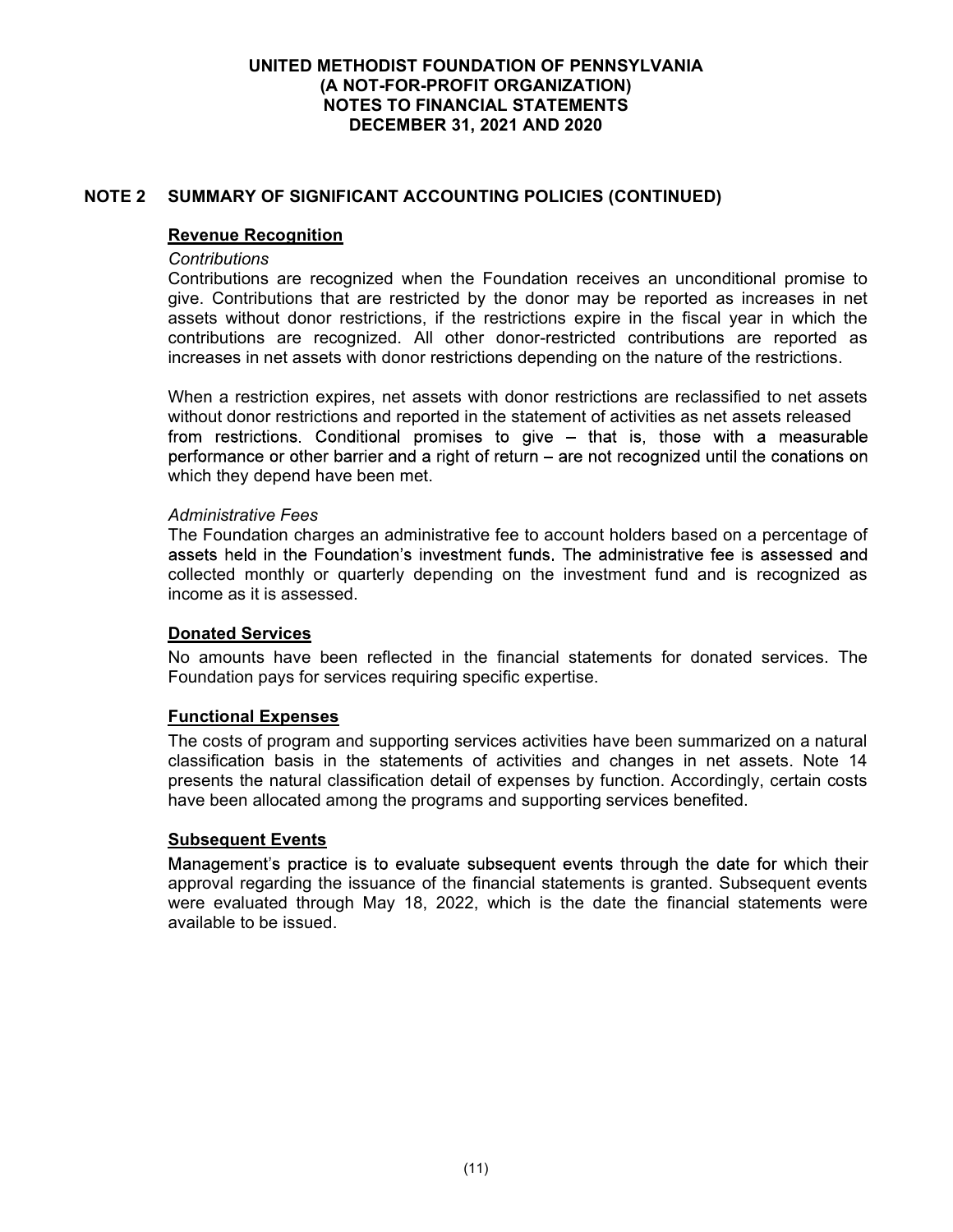## NOTE 2 SUMMARY OF SIGNIFICANT ACCOUNTING POLICIES (CONTINUED)

### Revenue Recognition

#### **Contributions**

Contributions are recognized when the Foundation receives an unconditional promise to give. Contributions that are restricted by the donor may be reported as increases in net assets without donor restrictions, if the restrictions expire in the fiscal year in which the contributions are recognized. All other donor-restricted contributions are reported as increases in net assets with donor restrictions depending on the nature of the restrictions.

When a restriction expires, net assets with donor restrictions are reclassified to net assets without donor restrictions and reported in the statement of activities as net assets released from restrictions. Conditional promises to give - that is, those with a measurable performance or other barrier and a right of return - are not recognized until the conations on which they depend have been met.

#### Administrative Fees

The Foundation charges an administrative fee to account holders based on a percentage of assets held in the Foundation's investment funds. The administrative fee is assessed and collected monthly or quarterly depending on the investment fund and is recognized as income as it is assessed.

#### Donated Services

No amounts have been reflected in the financial statements for donated services. The Foundation pays for services requiring specific expertise.

#### Functional Expenses

The costs of program and supporting services activities have been summarized on a natural classification basis in the statements of activities and changes in net assets. Note 14 presents the natural classification detail of expenses by function. Accordingly, certain costs have been allocated among the programs and supporting services benefited.

#### Subsequent Events

Management's practice is to evaluate subsequent events through the date for which their approval regarding the issuance of the financial statements is granted. Subsequent events were evaluated through May 18, 2022, which is the date the financial statements were available to be issued.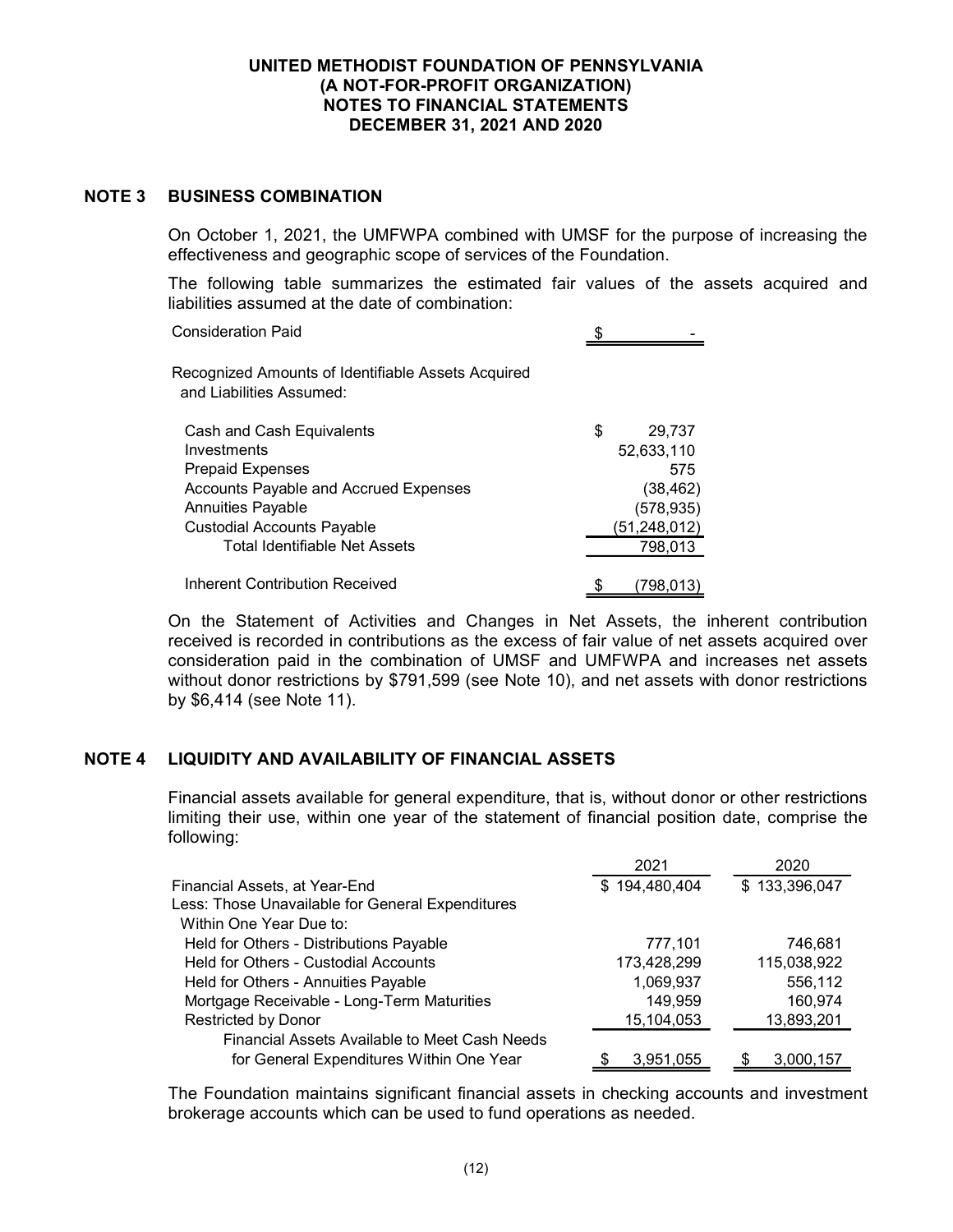### NOTE 3 BUSINESS COMBINATION

On October 1, 2021, the UMFWPA combined with UMSF for the purpose of increasing the effectiveness and geographic scope of services of the Foundation.

The following table summarizes the estimated fair values of the assets acquired and liabilities assumed at the date of combination:

| <b>Consideration Paid</b>                                                      |   |                |
|--------------------------------------------------------------------------------|---|----------------|
| Recognized Amounts of Identifiable Assets Acquired<br>and Liabilities Assumed: |   |                |
| Cash and Cash Equivalents                                                      | S | 29,737         |
| Investments                                                                    |   | 52,633,110     |
| <b>Prepaid Expenses</b>                                                        |   | 575            |
| Accounts Payable and Accrued Expenses                                          |   | (38, 462)      |
| <b>Annuities Payable</b>                                                       |   | (578, 935)     |
| <b>Custodial Accounts Payable</b>                                              |   | (51, 248, 012) |
| <b>Total Identifiable Net Assets</b>                                           |   | 798,013        |
| Inherent Contribution Received                                                 |   | (798.013)      |

On the Statement of Activities and Changes in Net Assets, the inherent contribution received is recorded in contributions as the excess of fair value of net assets acquired over consideration paid in the combination of UMSF and UMFWPA and increases net assets without donor restrictions by \$791,599 (see Note 10), and net assets with donor restrictions by \$6,414 (see Note 11).

## NOTE 4 LIQUIDITY AND AVAILABILITY OF FINANCIAL ASSETS

Financial assets available for general expenditure, that is, without donor or other restrictions limiting their use, within one year of the statement of financial position date, comprise the following:

|                                                  | 2021          | 2020          |
|--------------------------------------------------|---------------|---------------|
| Financial Assets, at Year-End                    | \$194,480,404 | \$133,396,047 |
| Less: Those Unavailable for General Expenditures |               |               |
| Within One Year Due to:                          |               |               |
| Held for Others - Distributions Payable          | 777,101       | 746,681       |
| Held for Others - Custodial Accounts             | 173,428,299   | 115,038,922   |
| Held for Others - Annuities Payable              | 1,069,937     | 556,112       |
| Mortgage Receivable - Long-Term Maturities       | 149,959       | 160,974       |
| <b>Restricted by Donor</b>                       | 15,104,053    | 13,893,201    |
| Financial Assets Available to Meet Cash Needs    |               |               |
| for General Expenditures Within One Year         | 3,951,055     | 3,000,157     |

The Foundation maintains significant financial assets in checking accounts and investment brokerage accounts which can be used to fund operations as needed.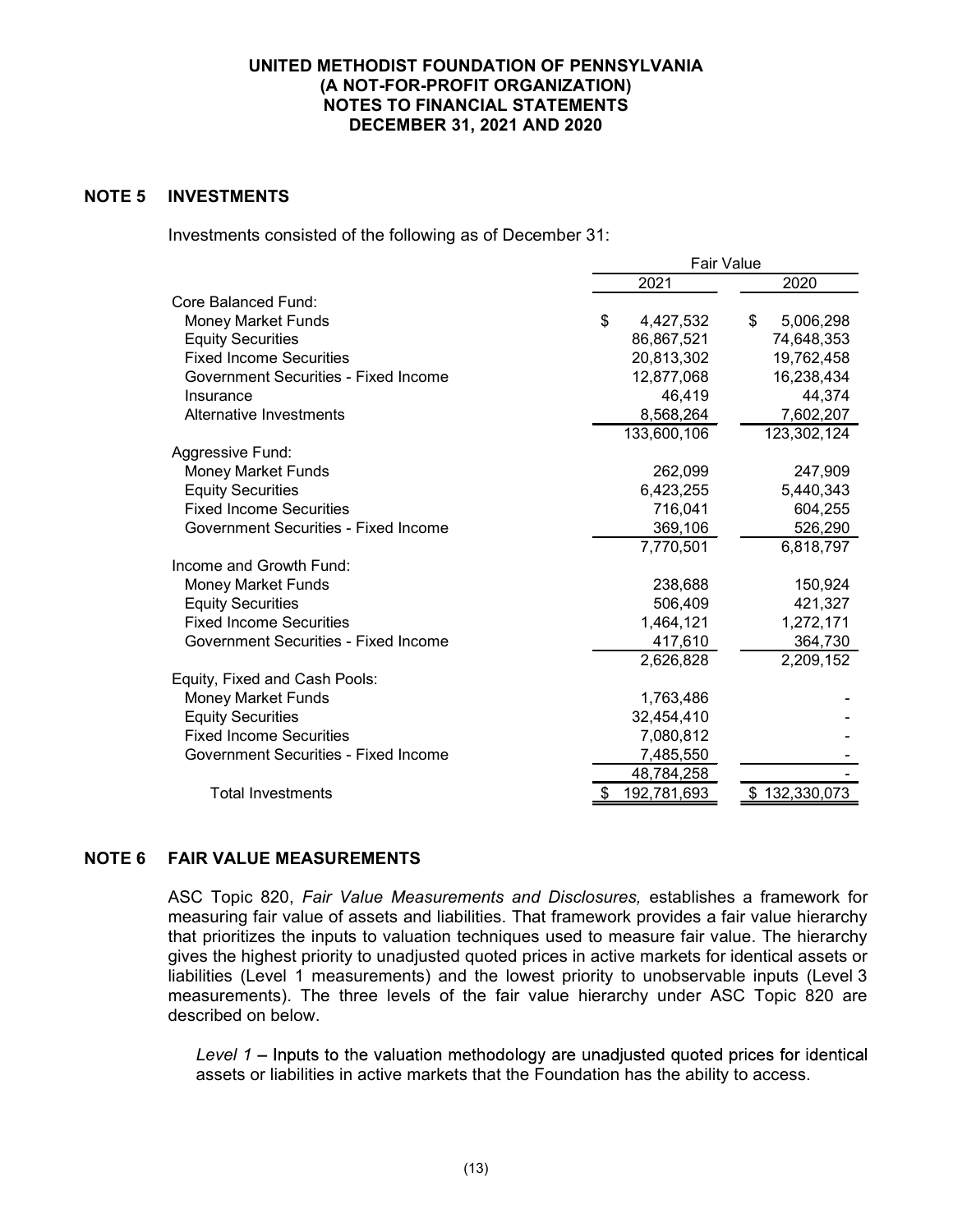## NOTE 5 INVESTMENTS

Investments consisted of the following as of December 31:

|                                      | <b>Fair Value</b> |                 |  |  |
|--------------------------------------|-------------------|-----------------|--|--|
|                                      | 2021              | 2020            |  |  |
| Core Balanced Fund:                  |                   |                 |  |  |
| <b>Money Market Funds</b>            | \$<br>4,427,532   | 5,006,298<br>\$ |  |  |
| <b>Equity Securities</b>             | 86,867,521        | 74,648,353      |  |  |
| <b>Fixed Income Securities</b>       | 20,813,302        | 19,762,458      |  |  |
| Government Securities - Fixed Income | 12,877,068        | 16,238,434      |  |  |
| Insurance                            | 46,419            | 44,374          |  |  |
| Alternative Investments              | 8,568,264         | 7,602,207       |  |  |
|                                      | 133,600,106       | 123,302,124     |  |  |
| Aggressive Fund:                     |                   |                 |  |  |
| <b>Money Market Funds</b>            | 262,099           | 247,909         |  |  |
| <b>Equity Securities</b>             | 6,423,255         | 5,440,343       |  |  |
| <b>Fixed Income Securities</b>       | 716,041           | 604,255         |  |  |
| Government Securities - Fixed Income | 369,106           | 526,290         |  |  |
|                                      | 7,770,501         | 6,818,797       |  |  |
| Income and Growth Fund:              |                   |                 |  |  |
| <b>Money Market Funds</b>            | 238,688           | 150,924         |  |  |
| <b>Equity Securities</b>             | 506,409           | 421,327         |  |  |
| <b>Fixed Income Securities</b>       | 1,464,121         | 1,272,171       |  |  |
| Government Securities - Fixed Income | 417,610           | 364,730         |  |  |
|                                      | 2,626,828         | 2,209,152       |  |  |
| Equity, Fixed and Cash Pools:        |                   |                 |  |  |
| <b>Money Market Funds</b>            | 1,763,486         |                 |  |  |
| <b>Equity Securities</b>             | 32,454,410        |                 |  |  |
| <b>Fixed Income Securities</b>       | 7,080,812         |                 |  |  |
| Government Securities - Fixed Income | 7,485,550         |                 |  |  |
|                                      | 48,784,258        |                 |  |  |
| <b>Total Investments</b>             | 192,781,693       | 132,330,073     |  |  |

## NOTE 6 FAIR VALUE MEASUREMENTS

ASC Topic 820, Fair Value Measurements and Disclosures, establishes a framework for measuring fair value of assets and liabilities. That framework provides a fair value hierarchy that prioritizes the inputs to valuation techniques used to measure fair value. The hierarchy gives the highest priority to unadjusted quoted prices in active markets for identical assets or liabilities (Level 1 measurements) and the lowest priority to unobservable inputs (Level 3 measurements). The three levels of the fair value hierarchy under ASC Topic 820 are described on below.

Level  $1$  – Inputs to the valuation methodology are unadjusted quoted prices for identical assets or liabilities in active markets that the Foundation has the ability to access.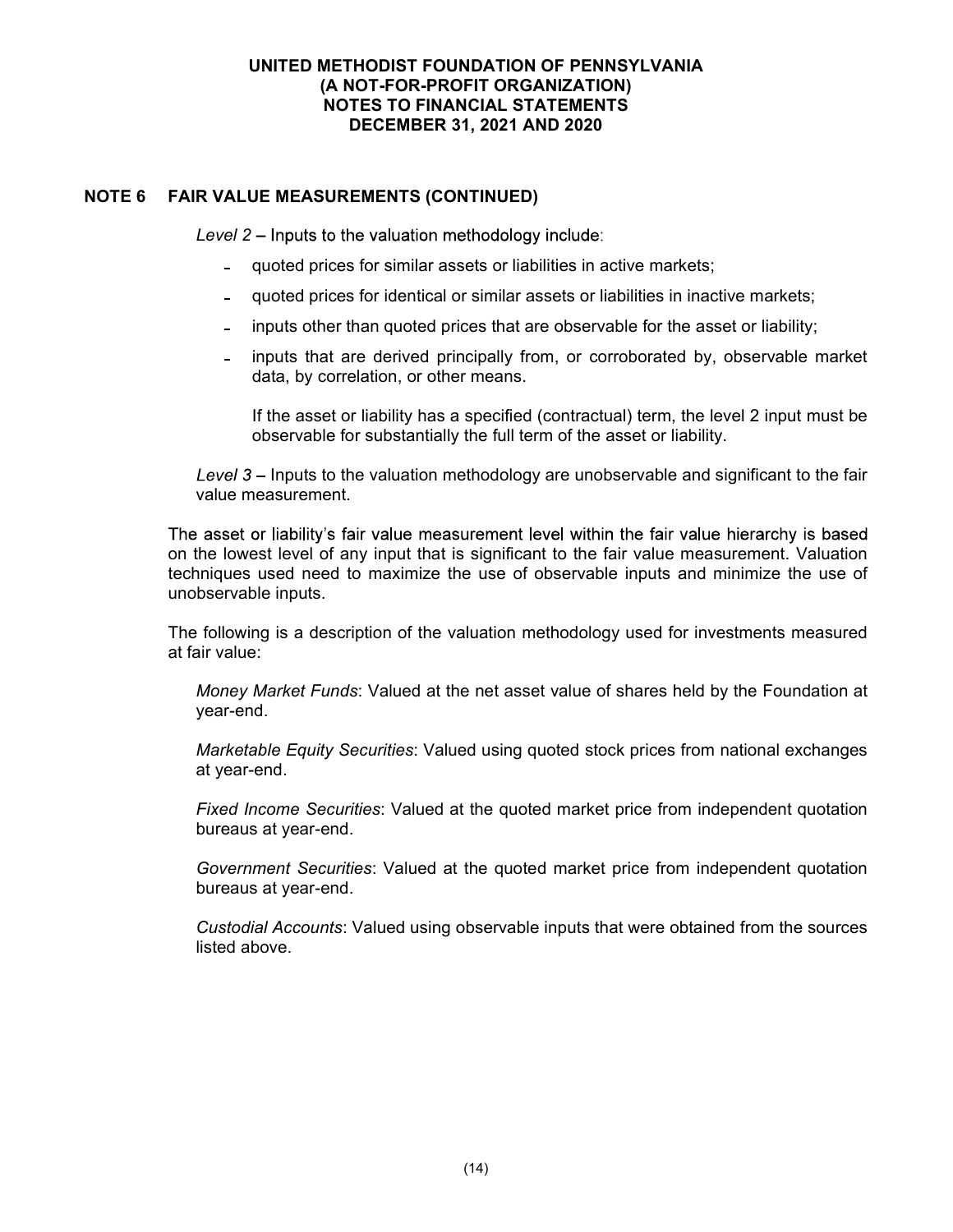## NOTE 6 FAIR VALUE MEASUREMENTS (CONTINUED)

Level 2 – Inputs to the valuation methodology include:

- quoted prices for similar assets or liabilities in active markets;
- quoted prices for identical or similar assets or liabilities in inactive markets;
- inputs other than quoted prices that are observable for the asset or liability;
- inputs that are derived principally from, or corroborated by, observable market a. data, by correlation, or other means.

If the asset or liability has a specified (contractual) term, the level 2 input must be observable for substantially the full term of the asset or liability.

Level  $3$  – Inputs to the valuation methodology are unobservable and significant to the fair value measurement.

The asset or liability's fair value measurement level within the fair value hierarchy is based on the lowest level of any input that is significant to the fair value measurement. Valuation techniques used need to maximize the use of observable inputs and minimize the use of unobservable inputs.

The following is a description of the valuation methodology used for investments measured at fair value:

Money Market Funds: Valued at the net asset value of shares held by the Foundation at year-end.

Marketable Equity Securities: Valued using quoted stock prices from national exchanges at year-end.

Fixed Income Securities: Valued at the quoted market price from independent quotation bureaus at year-end.

Government Securities: Valued at the quoted market price from independent quotation bureaus at year-end.

Custodial Accounts: Valued using observable inputs that were obtained from the sources listed above.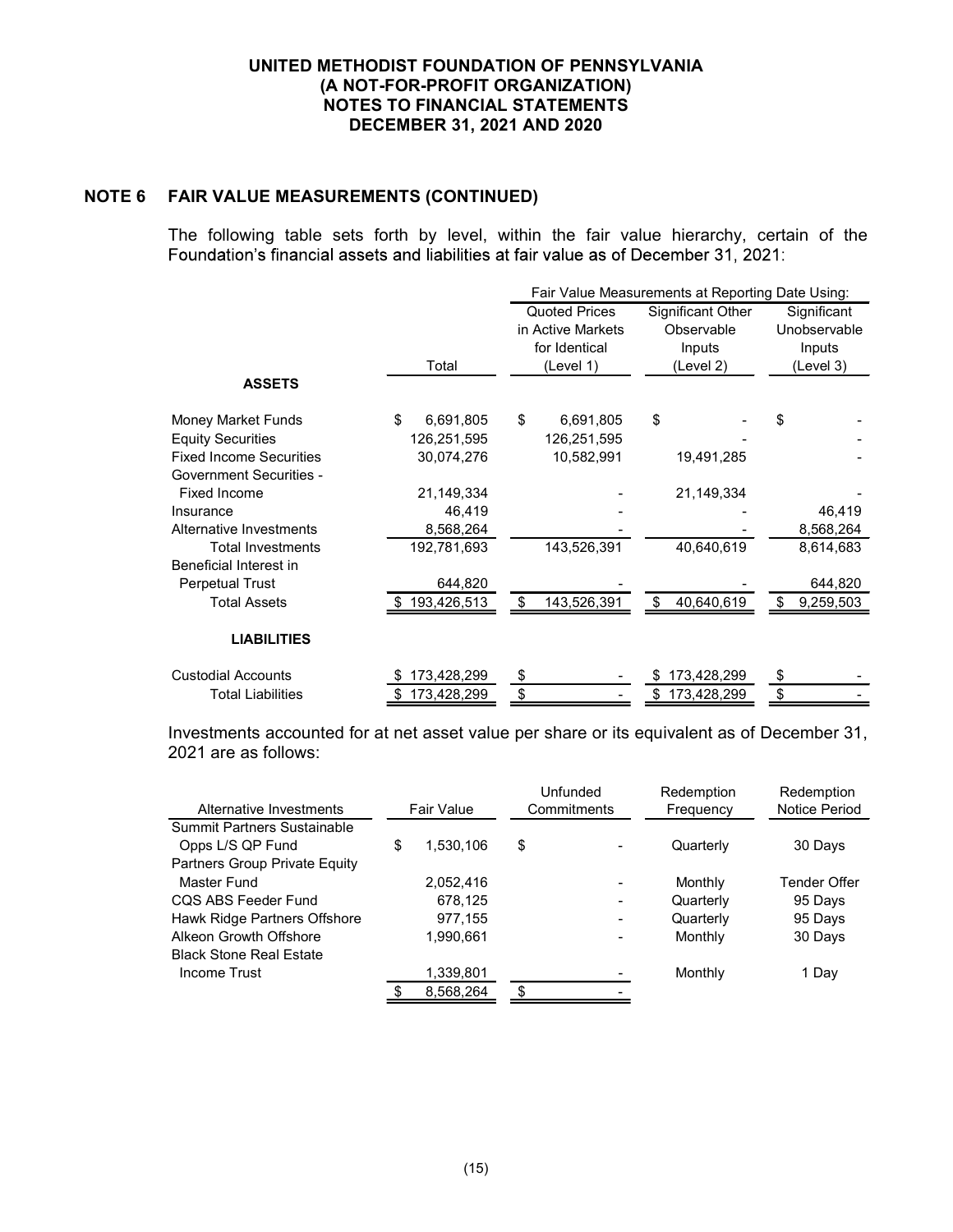# NOTE 6 FAIR VALUE MEASUREMENTS (CONTINUED)

The following table sets forth by level, within the fair value hierarchy, certain of the Foundation's financial assets and liabilities at fair value as of December 31, 2021:

|                                |                 | Fair Value Measurements at Reporting Date Using: |                   |                |  |  |  |
|--------------------------------|-----------------|--------------------------------------------------|-------------------|----------------|--|--|--|
|                                |                 | <b>Quoted Prices</b>                             | Significant Other | Significant    |  |  |  |
|                                |                 | in Active Markets                                | Observable        | Unobservable   |  |  |  |
|                                |                 | for Identical                                    | Inputs            | Inputs         |  |  |  |
|                                | Total           | (Level 1)                                        | (Level 2)         | (Level 3)      |  |  |  |
| <b>ASSETS</b>                  |                 |                                                  |                   |                |  |  |  |
| Money Market Funds             | \$<br>6,691,805 | \$<br>6,691,805                                  | \$                | \$             |  |  |  |
| <b>Equity Securities</b>       | 126,251,595     | 126,251,595                                      |                   |                |  |  |  |
| <b>Fixed Income Securities</b> | 30,074,276      | 10,582,991                                       | 19,491,285        |                |  |  |  |
| <b>Government Securities -</b> |                 |                                                  |                   |                |  |  |  |
| <b>Fixed Income</b>            | 21,149,334      |                                                  | 21,149,334        |                |  |  |  |
| Insurance                      | 46,419          |                                                  |                   | 46,419         |  |  |  |
| Alternative Investments        | 8,568,264       |                                                  |                   | 8,568,264      |  |  |  |
| <b>Total Investments</b>       | 192,781,693     | 143,526,391                                      | 40,640,619        | 8,614,683      |  |  |  |
| Beneficial Interest in         |                 |                                                  |                   |                |  |  |  |
| Perpetual Trust                | 644,820         |                                                  |                   | 644,820        |  |  |  |
| <b>Total Assets</b>            | \$193,426,513   | 143,526,391<br>S                                 | 40,640,619<br>\$  | 9,259,503<br>S |  |  |  |
| <b>LIABILITIES</b>             |                 |                                                  |                   |                |  |  |  |
| <b>Custodial Accounts</b>      | 173,428,299     | \$                                               | 173,428,299       | \$             |  |  |  |
| <b>Total Liabilities</b>       | 173,428,299     | \$                                               | 173,428,299       | \$             |  |  |  |

Investments accounted for at net asset value per share or its equivalent as of December 31, 2021 are as follows:

| Alternative Investments        | Fair Value |           | Unfunded<br>Commitments |                          |           | Redemption<br>Frequency | Redemption<br>Notice Period |
|--------------------------------|------------|-----------|-------------------------|--------------------------|-----------|-------------------------|-----------------------------|
| Summit Partners Sustainable    |            |           |                         |                          |           |                         |                             |
|                                |            |           |                         |                          |           |                         |                             |
| Opps L/S QP Fund               | \$         | 1,530,106 | \$                      |                          | Quarterly | 30 Days                 |                             |
| Partners Group Private Equity  |            |           |                         |                          |           |                         |                             |
| Master Fund                    |            | 2,052,416 |                         | ٠                        | Monthly   | <b>Tender Offer</b>     |                             |
| CQS ABS Feeder Fund            |            | 678,125   |                         | ٠                        | Quarterly | 95 Days                 |                             |
| Hawk Ridge Partners Offshore   |            | 977,155   |                         | $\overline{\phantom{a}}$ | Quarterly | 95 Days                 |                             |
| Alkeon Growth Offshore         |            | 1.990.661 |                         | $\overline{\phantom{a}}$ | Monthly   | 30 Days                 |                             |
| <b>Black Stone Real Estate</b> |            |           |                         |                          |           |                         |                             |
| Income Trust                   |            | 1,339,801 |                         |                          | Monthly   | 1 Day                   |                             |
|                                |            | 8,568,264 | \$                      |                          |           |                         |                             |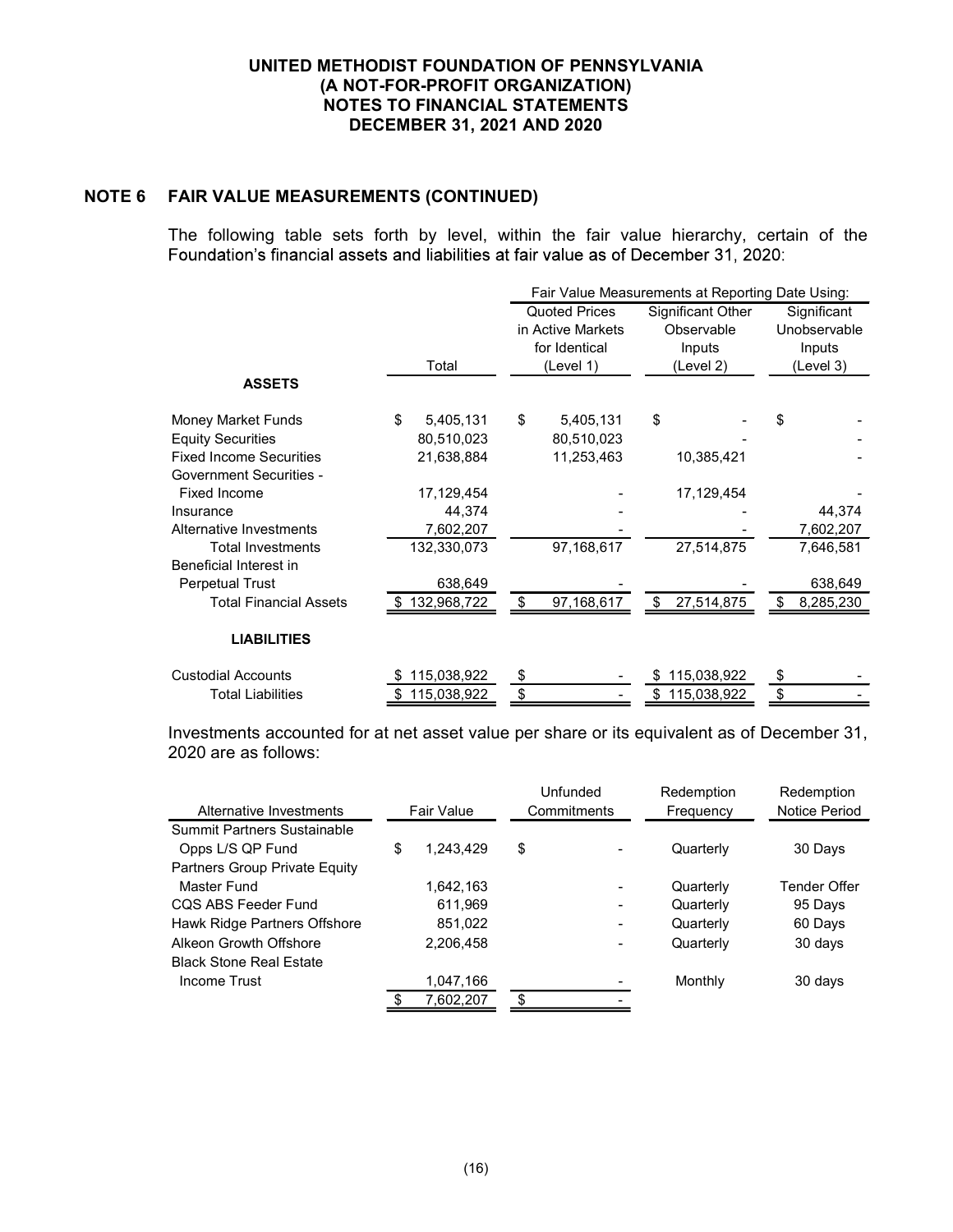# NOTE 6 FAIR VALUE MEASUREMENTS (CONTINUED)

The following table sets forth by level, within the fair value hierarchy, certain of the Foundation's financial assets and liabilities at fair value as of December 31, 2020:

|                                |                    | Fair Value Measurements at Reporting Date Using: |                   |                  |  |  |  |
|--------------------------------|--------------------|--------------------------------------------------|-------------------|------------------|--|--|--|
|                                |                    | <b>Quoted Prices</b>                             | Significant Other | Significant      |  |  |  |
|                                |                    | in Active Markets                                | Observable        | Unobservable     |  |  |  |
|                                |                    | for Identical                                    | Inputs            | Inputs           |  |  |  |
|                                | Total              | (Level 1)                                        | (Level 2)         | (Level 3)        |  |  |  |
| <b>ASSETS</b>                  |                    |                                                  |                   |                  |  |  |  |
| Money Market Funds             | \$<br>5,405,131    | \$<br>5,405,131                                  | \$                | \$               |  |  |  |
| <b>Equity Securities</b>       | 80,510,023         | 80,510,023                                       |                   |                  |  |  |  |
| <b>Fixed Income Securities</b> | 21,638,884         | 11,253,463                                       | 10,385,421        |                  |  |  |  |
| <b>Government Securities -</b> |                    |                                                  |                   |                  |  |  |  |
| <b>Fixed Income</b>            | 17,129,454         |                                                  | 17,129,454        |                  |  |  |  |
| Insurance                      | 44,374             |                                                  |                   | 44,374           |  |  |  |
| Alternative Investments        | 7,602,207          |                                                  |                   | 7,602,207        |  |  |  |
| <b>Total Investments</b>       | 132,330,073        | 97,168,617                                       | 27,514,875        | 7,646,581        |  |  |  |
| Beneficial Interest in         |                    |                                                  |                   |                  |  |  |  |
| <b>Perpetual Trust</b>         | 638,649            |                                                  |                   | 638,649          |  |  |  |
| <b>Total Financial Assets</b>  | 132,968,722<br>S.  | \$<br>97,168,617                                 | \$<br>27,514,875  | -\$<br>8,285,230 |  |  |  |
| <b>LIABILITIES</b>             |                    |                                                  |                   |                  |  |  |  |
| <b>Custodial Accounts</b>      | 115,038,922        | \$                                               | 115,038,922       | \$               |  |  |  |
| <b>Total Liabilities</b>       | 115,038,922<br>\$. | \$                                               | 115,038,922<br>\$ | \$               |  |  |  |

Investments accounted for at net asset value per share or its equivalent as of December 31, 2020 are as follows:

|                                    |            |           | Unfunded                     | Redemption | Redemption          |
|------------------------------------|------------|-----------|------------------------------|------------|---------------------|
| Alternative Investments            | Fair Value |           | Commitments                  | Frequency  | Notice Period       |
| <b>Summit Partners Sustainable</b> |            |           |                              |            |                     |
| Opps L/S QP Fund                   | \$         | 1,243,429 | \$                           | Quarterly  | 30 Days             |
| Partners Group Private Equity      |            |           |                              |            |                     |
| Master Fund                        |            | 1.642.163 |                              | Quarterly  | <b>Tender Offer</b> |
| COS ABS Feeder Fund                |            | 611,969   | $\qquad \qquad \blacksquare$ | Quarterly  | 95 Days             |
| Hawk Ridge Partners Offshore       |            | 851,022   | $\overline{\phantom{0}}$     | Quarterly  | 60 Days             |
| Alkeon Growth Offshore             |            | 2,206,458 | -                            | Quarterly  | 30 days             |
| <b>Black Stone Real Estate</b>     |            |           |                              |            |                     |
| Income Trust                       |            | 1,047,166 |                              | Monthly    | 30 days             |
|                                    |            | 7,602,207 |                              |            |                     |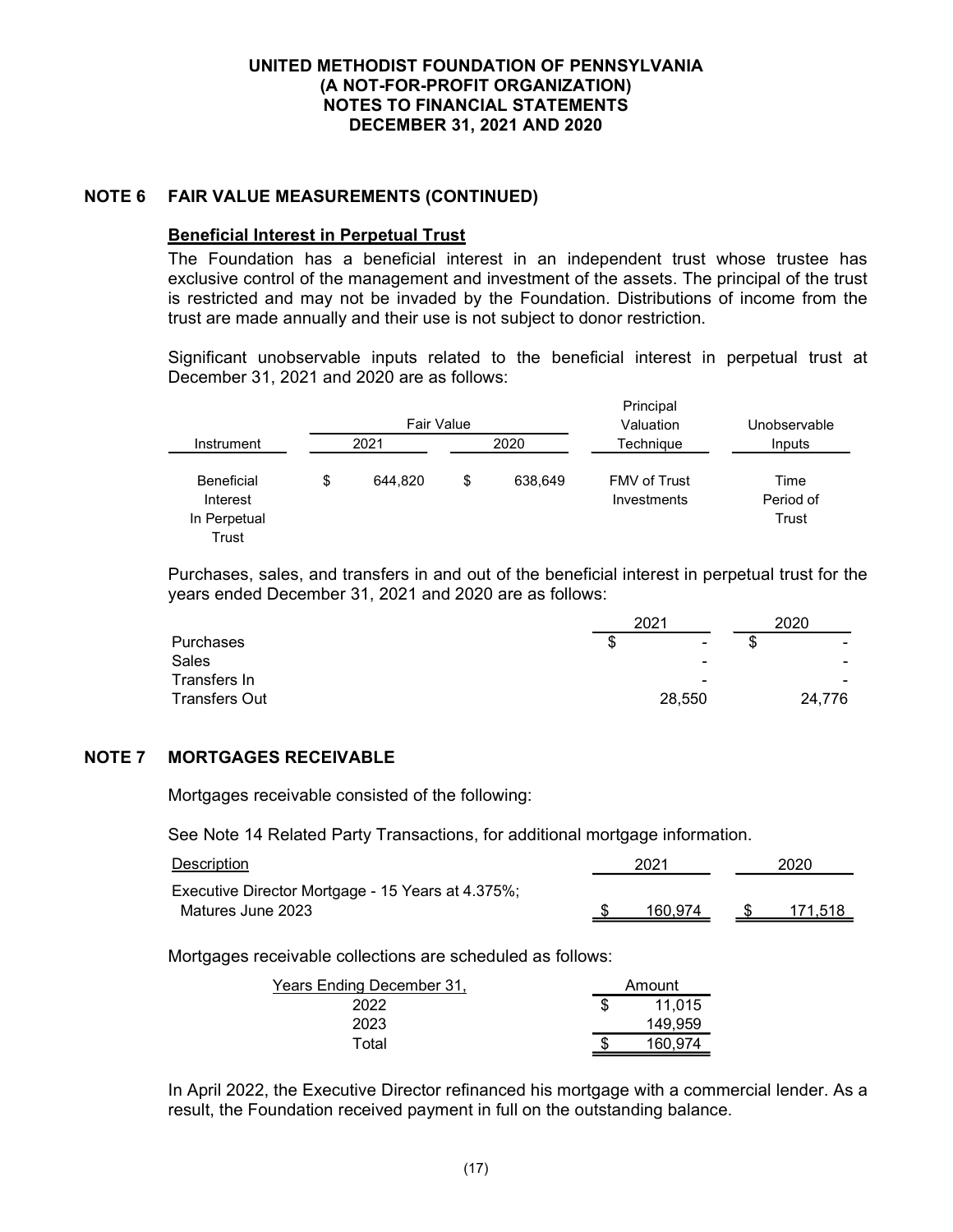## NOTE 6 FAIR VALUE MEASUREMENTS (CONTINUED)

### Beneficial Interest in Perpetual Trust

The Foundation has a beneficial interest in an independent trust whose trustee has exclusive control of the management and investment of the assets. The principal of the trust is restricted and may not be invaded by the Foundation. Distributions of income from the trust are made annually and their use is not subject to donor restriction.

Significant unobservable inputs related to the beneficial interest in perpetual trust at December 31, 2021 and 2020 are as follows:

**Principal** 

|                                                        | <b>Fair Value</b> |      |         | <b>FIIIIUI</b> µdi<br>Valuation    | Unobservable               |  |  |
|--------------------------------------------------------|-------------------|------|---------|------------------------------------|----------------------------|--|--|
| Instrument                                             | 2021              | 2020 |         | Techniaue                          | Inputs                     |  |  |
| <b>Beneficial</b><br>Interest<br>In Perpetual<br>Trust | \$<br>644.820     | \$   | 638,649 | <b>FMV of Trust</b><br>Investments | Time<br>Period of<br>Trust |  |  |

Purchases, sales, and transfers in and out of the beneficial interest in perpetual trust for the years ended December 31, 2021 and 2020 are as follows:

|                      | 2021                          | 2020                     |
|----------------------|-------------------------------|--------------------------|
| <b>Purchases</b>     | S<br>$\overline{\phantom{a}}$ | $\sim$                   |
| <b>Sales</b>         | $\overline{\phantom{0}}$      | $\overline{\phantom{0}}$ |
| Transfers In         | $\overline{\phantom{0}}$      |                          |
| <b>Transfers Out</b> | 28,550                        | 24,776                   |

#### NOTE 7 MORTGAGES RECEIVABLE

Mortgages receivable consisted of the following:

See Note 14 Related Party Transactions, for additional mortgage information.

| Description                                       | 2021    | 2020    |  |  |
|---------------------------------------------------|---------|---------|--|--|
| Executive Director Mortgage - 15 Years at 4.375%; |         |         |  |  |
| Matures June 2023                                 | 160.974 | 171.518 |  |  |

Mortgages receivable collections are scheduled as follows:

| Years Ending December 31. | Amount  |
|---------------------------|---------|
| 2022                      | 11.015  |
| 2023                      | 149,959 |
| Total                     | 160.974 |

In April 2022, the Executive Director refinanced his mortgage with a commercial lender. As a result, the Foundation received payment in full on the outstanding balance.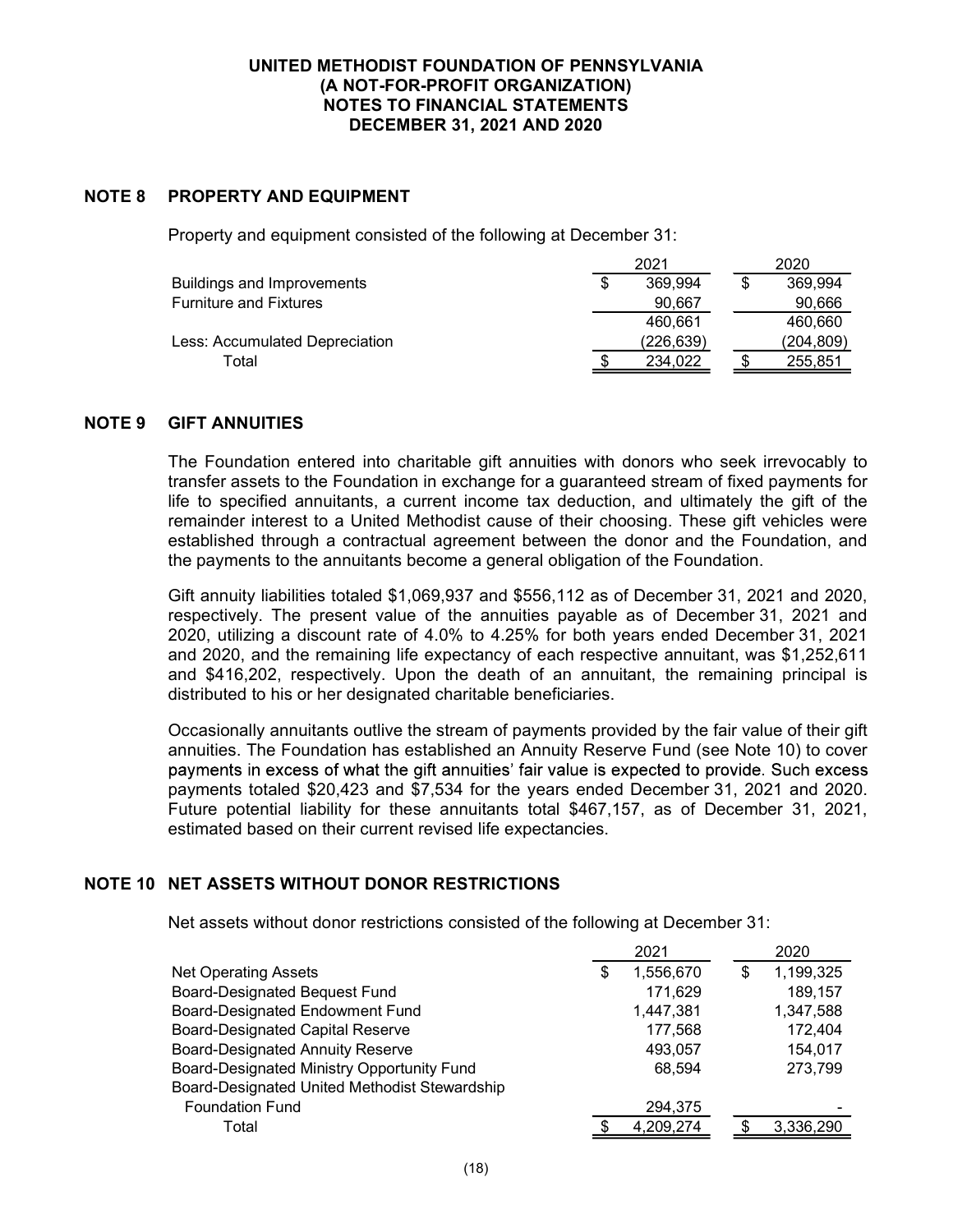## NOTE 8 PROPERTY AND EQUIPMENT

Property and equipment consisted of the following at December 31:

|                                | 2021 |            |  | 2020       |
|--------------------------------|------|------------|--|------------|
| Buildings and Improvements     |      | 369.994    |  | 369.994    |
| <b>Furniture and Fixtures</b>  |      | 90.667     |  | 90,666     |
|                                |      | 460.661    |  | 460,660    |
| Less: Accumulated Depreciation |      | (226, 639) |  | (204, 809) |
| Гоtal                          |      | 234.022    |  | 255,851    |

## NOTE 9 GIFT ANNUITIES

The Foundation entered into charitable gift annuities with donors who seek irrevocably to transfer assets to the Foundation in exchange for a guaranteed stream of fixed payments for life to specified annuitants, a current income tax deduction, and ultimately the gift of the remainder interest to a United Methodist cause of their choosing. These gift vehicles were established through a contractual agreement between the donor and the Foundation, and the payments to the annuitants become a general obligation of the Foundation.

Gift annuity liabilities totaled \$1,069,937 and \$556,112 as of December 31, 2021 and 2020, respectively. The present value of the annuities payable as of December 31, 2021 and 2020, utilizing a discount rate of 4.0% to 4.25% for both years ended December 31, 2021 and 2020, and the remaining life expectancy of each respective annuitant, was \$1,252,611 and \$416,202, respectively. Upon the death of an annuitant, the remaining principal is distributed to his or her designated charitable beneficiaries.

Occasionally annuitants outlive the stream of payments provided by the fair value of their gift annuities. The Foundation has established an Annuity Reserve Fund (see Note 10) to cover payments in excess of what the gift annuities' fair value is expected to provide. Such excess payments totaled \$20,423 and \$7,534 for the years ended December 31, 2021 and 2020. Future potential liability for these annuitants total \$467,157, as of December 31, 2021, estimated based on their current revised life expectancies.

## NOTE 10 NET ASSETS WITHOUT DONOR RESTRICTIONS

Net assets without donor restrictions consisted of the following at December 31:

|                                               | 2021            |   | 2020      |
|-----------------------------------------------|-----------------|---|-----------|
| <b>Net Operating Assets</b>                   | \$<br>1,556,670 | S | 1,199,325 |
| <b>Board-Designated Bequest Fund</b>          | 171,629         |   | 189,157   |
| <b>Board-Designated Endowment Fund</b>        | 1,447,381       |   | 1,347,588 |
| <b>Board-Designated Capital Reserve</b>       | 177,568         |   | 172,404   |
| <b>Board-Designated Annuity Reserve</b>       | 493,057         |   | 154,017   |
| Board-Designated Ministry Opportunity Fund    | 68,594          |   | 273,799   |
| Board-Designated United Methodist Stewardship |                 |   |           |
| <b>Foundation Fund</b>                        | 294,375         |   |           |
| Total                                         | 4,209,274       |   | 3,336,290 |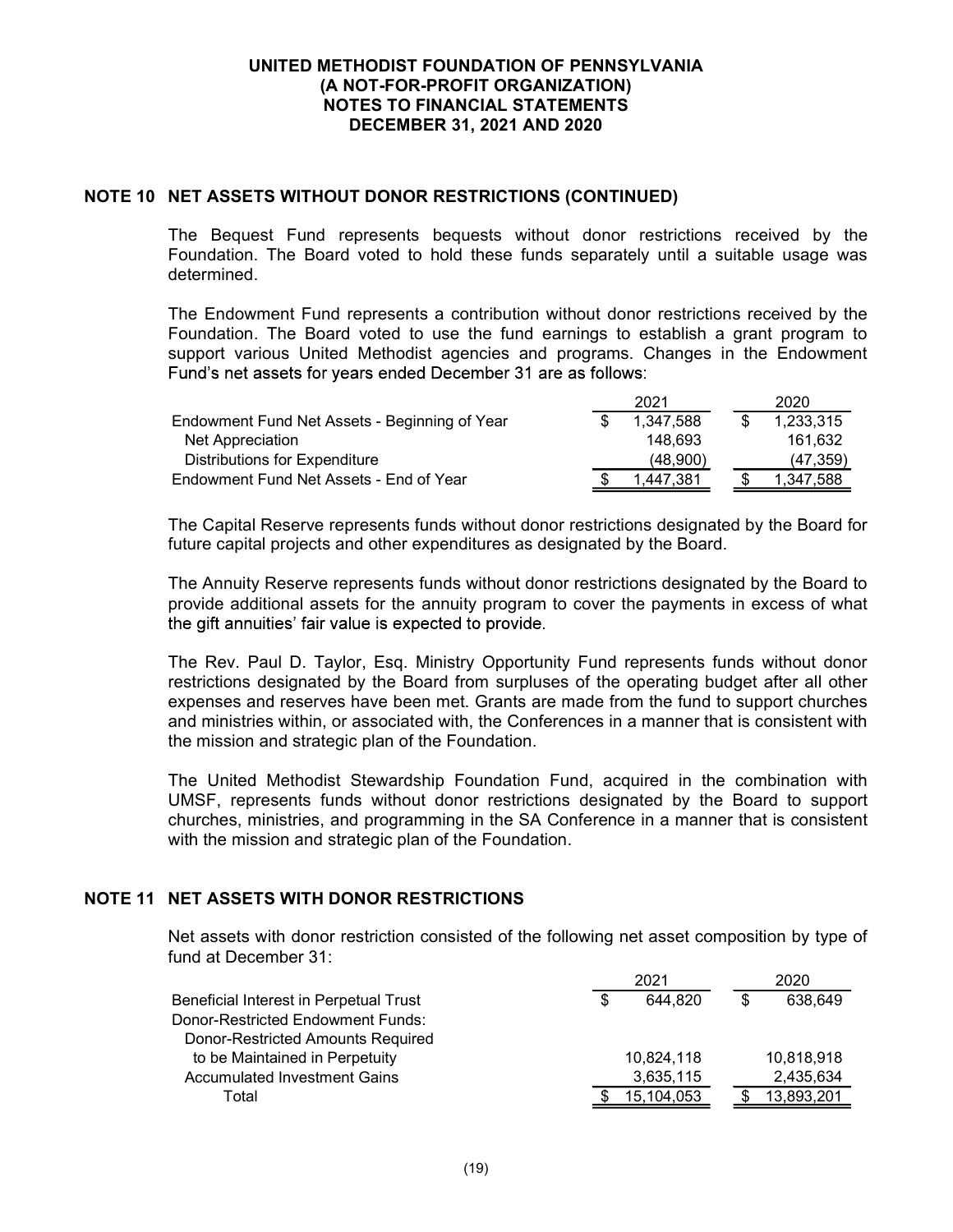### NOTE 10 NET ASSETS WITHOUT DONOR RESTRICTIONS (CONTINUED)

The Bequest Fund represents bequests without donor restrictions received by the Foundation. The Board voted to hold these funds separately until a suitable usage was determined.

The Endowment Fund represents a contribution without donor restrictions received by the Foundation. The Board voted to use the fund earnings to establish a grant program to support various United Methodist agencies and programs. Changes in the Endowment Fund's net assets for years ended December 31 are as follows:

|                                               | 2021      | 2020       |
|-----------------------------------------------|-----------|------------|
| Endowment Fund Net Assets - Beginning of Year | 1.347.588 | 1,233,315  |
| Net Appreciation                              | 148.693   | 161,632    |
| Distributions for Expenditure                 | (48.900)  | (47.359)   |
| Endowment Fund Net Assets - End of Year       | 1.447.381 | 347.588. ا |

The Capital Reserve represents funds without donor restrictions designated by the Board for future capital projects and other expenditures as designated by the Board.

The Annuity Reserve represents funds without donor restrictions designated by the Board to provide additional assets for the annuity program to cover the payments in excess of what the gift annuities' fair value is expected to provide.

The Rev. Paul D. Taylor, Esq. Ministry Opportunity Fund represents funds without donor restrictions designated by the Board from surpluses of the operating budget after all other expenses and reserves have been met. Grants are made from the fund to support churches and ministries within, or associated with, the Conferences in a manner that is consistent with the mission and strategic plan of the Foundation.

The United Methodist Stewardship Foundation Fund, acquired in the combination with UMSF, represents funds without donor restrictions designated by the Board to support churches, ministries, and programming in the SA Conference in a manner that is consistent with the mission and strategic plan of the Foundation.

## NOTE 11 NET ASSETS WITH DONOR RESTRICTIONS

Net assets with donor restriction consisted of the following net asset composition by type of fund at December 31:

|                                        |   | 2021       | 2020       |
|----------------------------------------|---|------------|------------|
| Beneficial Interest in Perpetual Trust | S | 644.820    | 638.649    |
| Donor-Restricted Endowment Funds:      |   |            |            |
| Donor-Restricted Amounts Required      |   |            |            |
| to be Maintained in Perpetuity         |   | 10,824,118 | 10,818,918 |
| <b>Accumulated Investment Gains</b>    |   | 3,635,115  | 2,435,634  |
| Total                                  |   | 15.104.053 | 13,893,201 |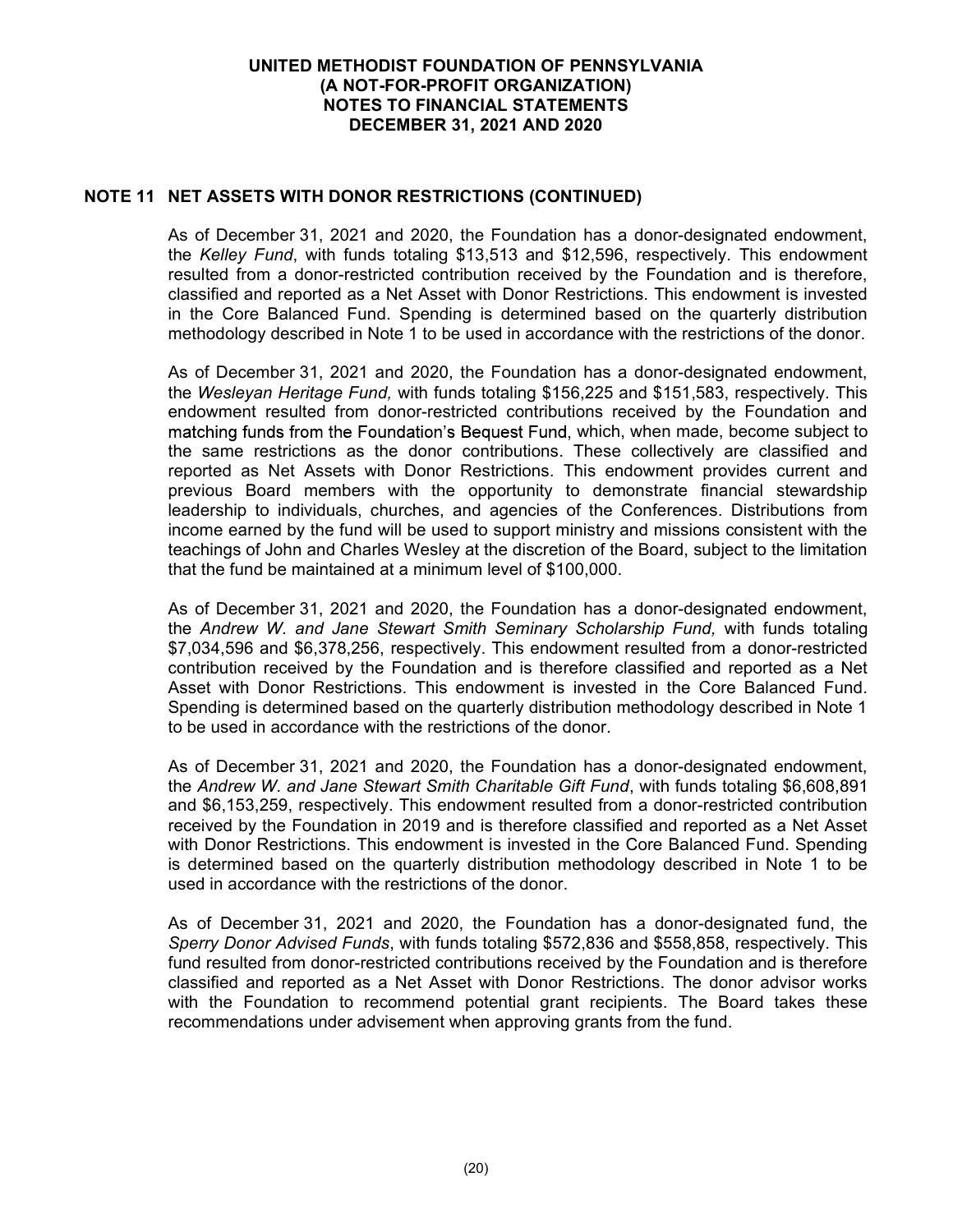## NOTE 11 NET ASSETS WITH DONOR RESTRICTIONS (CONTINUED)

As of December 31, 2021 and 2020, the Foundation has a donor-designated endowment, the Kelley Fund, with funds totaling \$13,513 and \$12,596, respectively. This endowment resulted from a donor-restricted contribution received by the Foundation and is therefore, classified and reported as a Net Asset with Donor Restrictions. This endowment is invested in the Core Balanced Fund. Spending is determined based on the quarterly distribution methodology described in Note 1 to be used in accordance with the restrictions of the donor.

As of December 31, 2021 and 2020, the Foundation has a donor-designated endowment, the Wesleyan Heritage Fund, with funds totaling \$156,225 and \$151,583, respectively. This endowment resulted from donor-restricted contributions received by the Foundation and matching funds from the Foundation's Bequest Fund, which, when made, become subject to the same restrictions as the donor contributions. These collectively are classified and reported as Net Assets with Donor Restrictions. This endowment provides current and previous Board members with the opportunity to demonstrate financial stewardship leadership to individuals, churches, and agencies of the Conferences. Distributions from income earned by the fund will be used to support ministry and missions consistent with the teachings of John and Charles Wesley at the discretion of the Board, subject to the limitation that the fund be maintained at a minimum level of \$100,000.

As of December 31, 2021 and 2020, the Foundation has a donor-designated endowment, the Andrew W. and Jane Stewart Smith Seminary Scholarship Fund, with funds totaling \$7,034,596 and \$6,378,256, respectively. This endowment resulted from a donor-restricted contribution received by the Foundation and is therefore classified and reported as a Net Asset with Donor Restrictions. This endowment is invested in the Core Balanced Fund. Spending is determined based on the quarterly distribution methodology described in Note 1 to be used in accordance with the restrictions of the donor.

As of December 31, 2021 and 2020, the Foundation has a donor-designated endowment, the Andrew W. and Jane Stewart Smith Charitable Gift Fund, with funds totaling \$6,608,891 and \$6,153,259, respectively. This endowment resulted from a donor-restricted contribution received by the Foundation in 2019 and is therefore classified and reported as a Net Asset with Donor Restrictions. This endowment is invested in the Core Balanced Fund. Spending is determined based on the quarterly distribution methodology described in Note 1 to be used in accordance with the restrictions of the donor.

As of December 31, 2021 and 2020, the Foundation has a donor-designated fund, the Sperry Donor Advised Funds, with funds totaling \$572,836 and \$558,858, respectively. This fund resulted from donor-restricted contributions received by the Foundation and is therefore classified and reported as a Net Asset with Donor Restrictions. The donor advisor works with the Foundation to recommend potential grant recipients. The Board takes these recommendations under advisement when approving grants from the fund.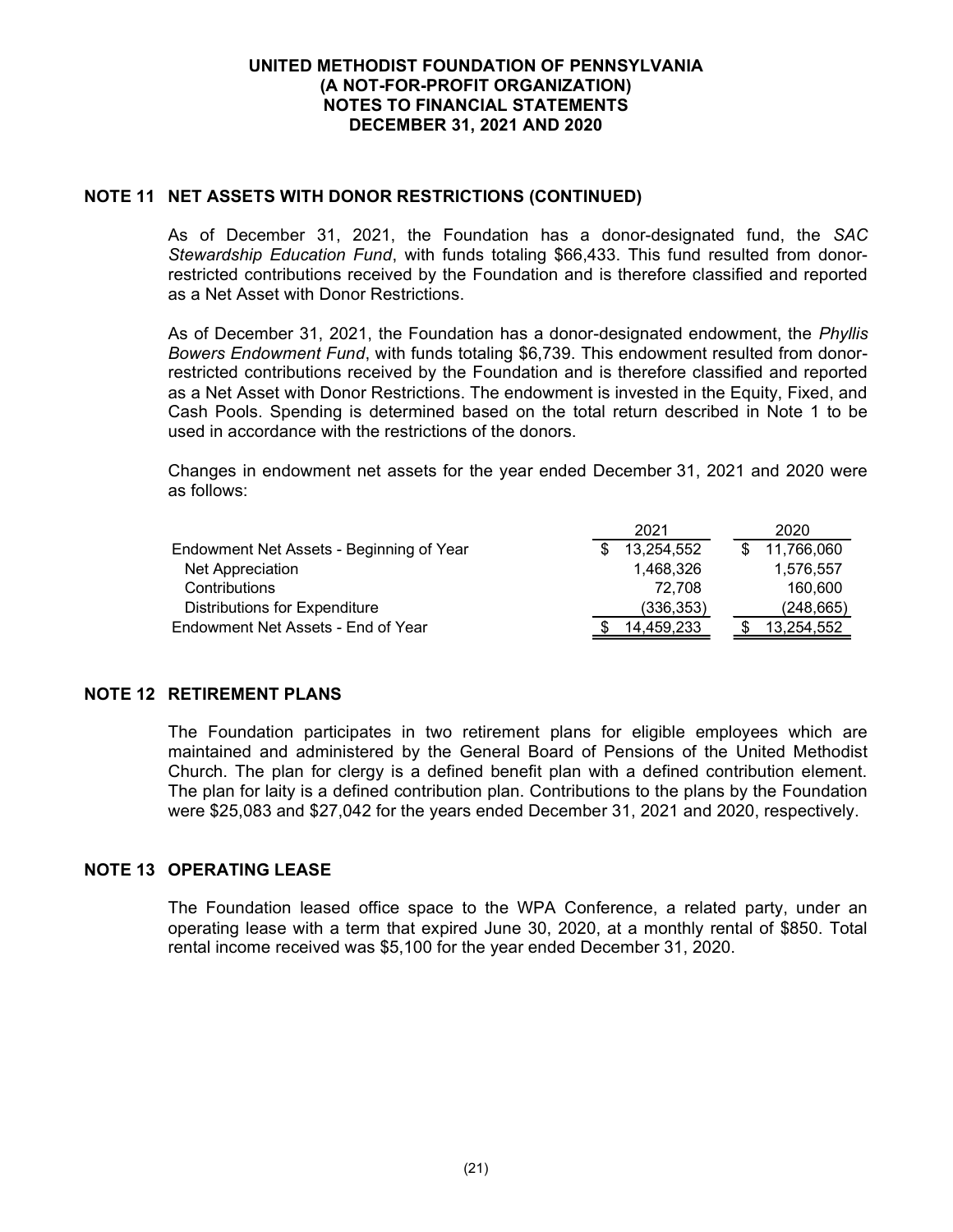## NOTE 11 NET ASSETS WITH DONOR RESTRICTIONS (CONTINUED)

As of December 31, 2021, the Foundation has a donor-designated fund, the SAC Stewardship Education Fund, with funds totaling \$66,433. This fund resulted from donorrestricted contributions received by the Foundation and is therefore classified and reported as a Net Asset with Donor Restrictions.

As of December 31, 2021, the Foundation has a donor-designated endowment, the Phyllis Bowers Endowment Fund, with funds totaling \$6,739. This endowment resulted from donorrestricted contributions received by the Foundation and is therefore classified and reported as a Net Asset with Donor Restrictions. The endowment is invested in the Equity, Fixed, and Cash Pools. Spending is determined based on the total return described in Note 1 to be used in accordance with the restrictions of the donors.

Changes in endowment net assets for the year ended December 31, 2021 and 2020 were as follows:

|                                          | 2021       |  |  | 2020       |
|------------------------------------------|------------|--|--|------------|
| Endowment Net Assets - Beginning of Year | 13,254,552 |  |  | 11,766,060 |
| Net Appreciation                         | 1.468.326  |  |  | 1,576,557  |
| Contributions                            | 72.708     |  |  | 160,600    |
| <b>Distributions for Expenditure</b>     | (336, 353) |  |  | (248, 665) |
| Endowment Net Assets - End of Year       | 14.459.233 |  |  | 13.254.552 |

### NOTE 12 RETIREMENT PLANS

The Foundation participates in two retirement plans for eligible employees which are maintained and administered by the General Board of Pensions of the United Methodist Church. The plan for clergy is a defined benefit plan with a defined contribution element. The plan for laity is a defined contribution plan. Contributions to the plans by the Foundation were \$25,083 and \$27,042 for the years ended December 31, 2021 and 2020, respectively.

### NOTE 13 OPERATING LEASE

The Foundation leased office space to the WPA Conference, a related party, under an operating lease with a term that expired June 30, 2020, at a monthly rental of \$850. Total rental income received was \$5,100 for the year ended December 31, 2020.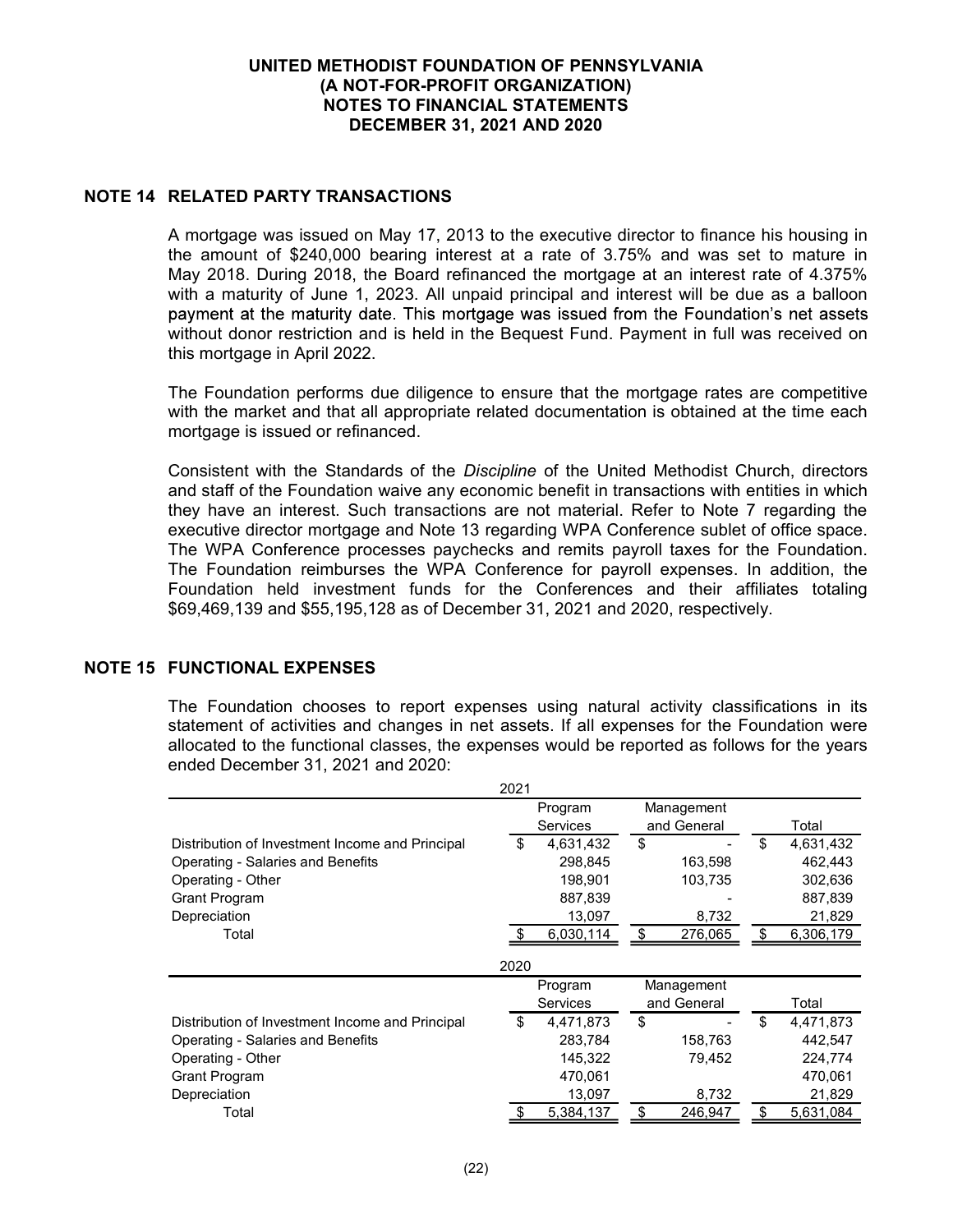## NOTE 14 RELATED PARTY TRANSACTIONS

A mortgage was issued on May 17, 2013 to the executive director to finance his housing in the amount of \$240,000 bearing interest at a rate of 3.75% and was set to mature in May 2018. During 2018, the Board refinanced the mortgage at an interest rate of 4.375% with a maturity of June 1, 2023. All unpaid principal and interest will be due as a balloon payment at the maturity date. This mortgage was issued from the Foundation's net assets without donor restriction and is held in the Bequest Fund. Payment in full was received on this mortgage in April 2022.

The Foundation performs due diligence to ensure that the mortgage rates are competitive with the market and that all appropriate related documentation is obtained at the time each mortgage is issued or refinanced.

Consistent with the Standards of the Discipline of the United Methodist Church, directors and staff of the Foundation waive any economic benefit in transactions with entities in which they have an interest. Such transactions are not material. Refer to Note 7 regarding the executive director mortgage and Note 13 regarding WPA Conference sublet of office space. The WPA Conference processes paychecks and remits payroll taxes for the Foundation. The Foundation reimburses the WPA Conference for payroll expenses. In addition, the Foundation held investment funds for the Conferences and their affiliates totaling \$69,469,139 and \$55,195,128 as of December 31, 2021 and 2020, respectively.

## NOTE 15 FUNCTIONAL EXPENSES

The Foundation chooses to report expenses using natural activity classifications in its statement of activities and changes in net assets. If all expenses for the Foundation were allocated to the functional classes, the expenses would be reported as follows for the years ended December 31, 2021 and 2020:

|                                                 | 2021 |                 |               |                 |
|-------------------------------------------------|------|-----------------|---------------|-----------------|
|                                                 |      | Program         | Management    |                 |
|                                                 |      | <b>Services</b> | and General   | Total           |
| Distribution of Investment Income and Principal | \$   | 4,631,432       | \$            | \$<br>4,631,432 |
| <b>Operating - Salaries and Benefits</b>        |      | 298,845         | 163,598       | 462,443         |
| Operating - Other                               |      | 198,901         | 103,735       | 302,636         |
| Grant Program                                   |      | 887,839         |               | 887,839         |
| Depreciation                                    |      | 13,097          | 8,732         | 21,829          |
| Total                                           |      | 6,030,114       | \$<br>276,065 | \$<br>6,306,179 |
|                                                 | 2020 |                 |               |                 |
|                                                 |      | Program         | Management    |                 |
|                                                 |      | <b>Services</b> | and General   | Total           |
| Distribution of Investment Income and Principal | \$   | 4,471,873       | \$            | \$<br>4,471,873 |
|                                                 |      |                 |               |                 |
| Operating - Salaries and Benefits               |      | 283,784         | 158,763       | 442,547         |
| Operating - Other                               |      | 145.322         | 79.452        | 224,774         |
| Grant Program                                   |      | 470.061         |               | 470.061         |
| Depreciation                                    |      | 13,097          | 8,732         | 21,829          |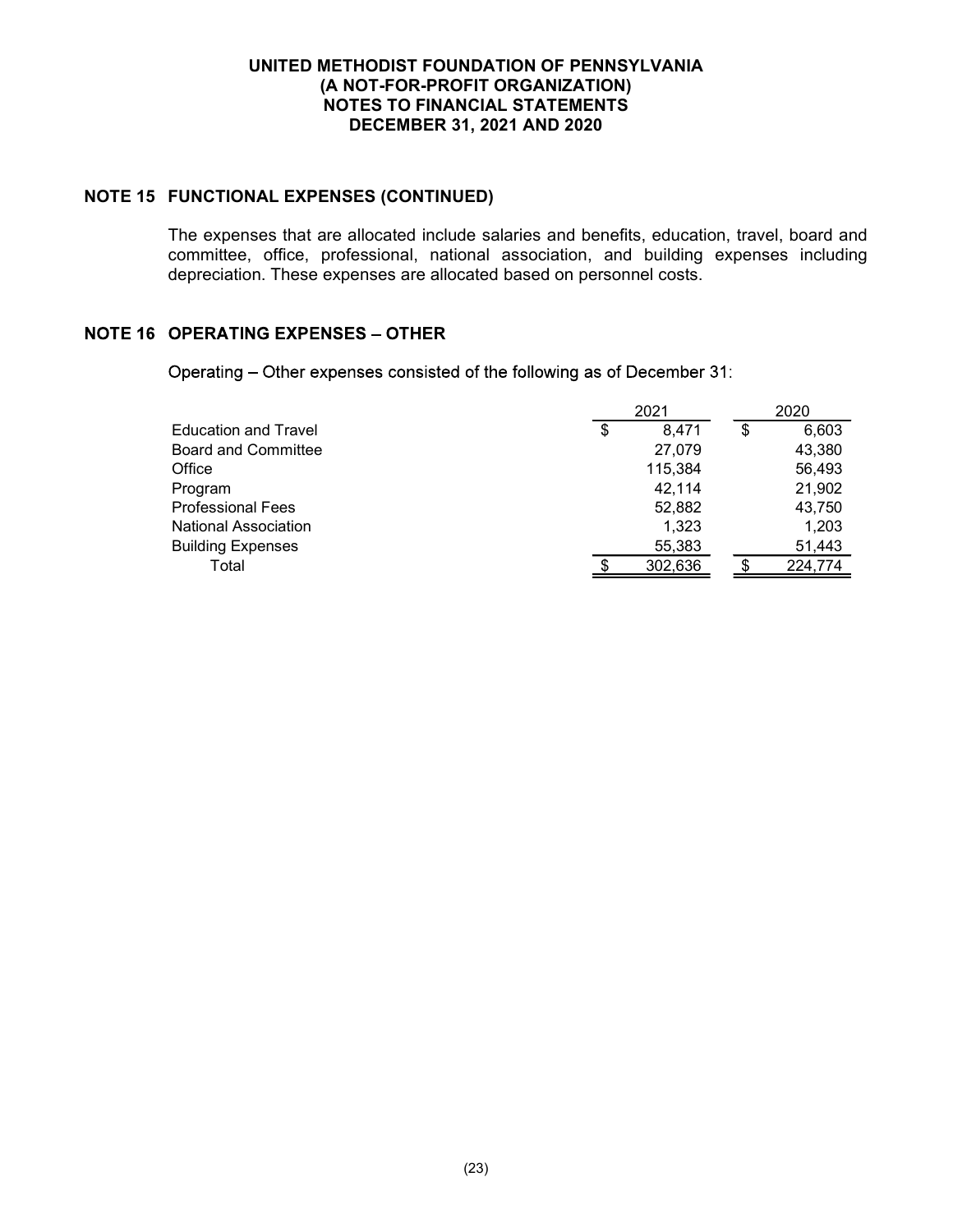## NOTE 15 FUNCTIONAL EXPENSES (CONTINUED)

The expenses that are allocated include salaries and benefits, education, travel, board and committee, office, professional, national association, and building expenses including depreciation. These expenses are allocated based on personnel costs.

# **NOTE 16 OPERATING EXPENSES - OTHER**

Operating - Other expenses consisted of the following as of December 31:

| 2021 |         |    | 2020    |  |  |
|------|---------|----|---------|--|--|
| \$   | 8.471   | \$ | 6,603   |  |  |
|      | 27,079  |    | 43,380  |  |  |
|      | 115,384 |    | 56,493  |  |  |
|      | 42.114  |    | 21,902  |  |  |
|      | 52,882  |    | 43,750  |  |  |
|      | 1,323   |    | 1,203   |  |  |
|      | 55,383  |    | 51,443  |  |  |
|      | 302,636 |    | 224,774 |  |  |
|      |         |    |         |  |  |